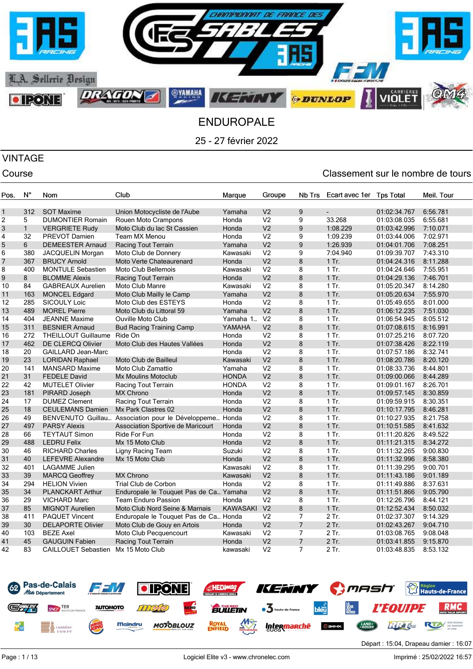

# VINTAGE

| Pos. | $N^{\circ}$  | Nom                        | Club                                   | Marque          | Groupe         | Nb Trs         | Ecart avec 1er | <b>Tps Total</b> | Meil. Tour |
|------|--------------|----------------------------|----------------------------------------|-----------------|----------------|----------------|----------------|------------------|------------|
|      |              |                            |                                        |                 |                |                |                |                  |            |
| 1    | 312          | <b>SOT Maxime</b>          | Union Motocycliste de l'Aube           | Yamaha          | V <sub>2</sub> | 9              |                | 01:02:34.767     | 6:56.781   |
| 2    | 5            | <b>DUMONTIER Romain</b>    | Rouen Moto Crampons                    | Honda           | V <sub>2</sub> | 9              | 33.268         | 01:03:08.035     | 6:55.681   |
| 3    | $\mathbf{1}$ | <b>VERGRIETE Rudy</b>      | Moto Club du lac St Cassien            | Honda           | V <sub>2</sub> | 9              | 1:08.229       | 01:03:42.996     | 7:10.071   |
| 4    | 32           | PREVOT Damien              | Team MX Menou                          | Honda           | V <sub>2</sub> | 9              | 1:09.239       | 01:03:44.006     | 7:02.971   |
| 5    | 6            | <b>DEMEESTER Arnaud</b>    | <b>Racing Tout Terrain</b>             | Yamaha          | V <sub>2</sub> | 9              | 1:26.939       | 01:04:01.706     | 7:08.251   |
| 6    | 380          | JACQUELIN Morgan           | Moto Club de Donnery                   | Kawasaki        | V <sub>2</sub> | 9              | 7:04.940       | 01:09:39.707     | 7:43.310   |
| 7    | 367          | <b>BRUCY Arnold</b>        | Moto Verte Chateaurenard               | Honda           | V <sub>2</sub> | 8              | 1 Tr.          | 01:04:24.316     | 8:11.288   |
| 8    | 400          | MONTULE Sebastien          | Moto Club Bellemois                    | Kawasaki        | V <sub>2</sub> | 8              | $1$ Tr.        | 01:04:24.646     | 7:55.951   |
| 9    | 8            | <b>BLOMME Alexis</b>       | Racing Tout Terrain                    | Honda           | V <sub>2</sub> | 8              | $1$ Tr.        | 01:04:29.136     | 7:46.701   |
| 10   | 84           | <b>GABREAUX Aurelien</b>   | Moto Club Manre                        | Kawasaki        | V <sub>2</sub> | 8              | $1$ Tr.        | 01:05:20.347     | 8:14.280   |
| 11   | 163          | <b>MONCEL Edgard</b>       | Moto Club Mailly le Camp               | Yamaha          | V <sub>2</sub> | 8              | 1 Tr.          | 01:05:20.634     | 7:55.970   |
| 12   | 285          | <b>SICOULY Loic</b>        | Moto Club des ESTEYS                   | Honda           | V <sub>2</sub> | 8              | 1 Tr.          | 01:05:49.655     | 8:01.000   |
| 13   | 489          | <b>MOREL Pierre</b>        | Moto Club du Littoral 59               | Yamaha          | V <sub>2</sub> | 8              | $1$ Tr.        | 01:06:12.235     | 7:51.030   |
| 14   | 404          | <b>JEANNE Maxime</b>       | <b>Ouville Moto Club</b>               | Yamaha 1        | V <sub>2</sub> | 8              | 1 Tr.          | 01:06:54.945     | 8:05.512   |
| 15   | 311          | <b>BESNIER Arnaud</b>      | <b>Bud Racing Training Camp</b>        | YAMAHA          | V <sub>2</sub> | 8              | $1$ Tr.        | 01:07:08.615     | 8:16.991   |
| 16   | 272          | THEILLOUT Guillaume        | Ride On                                | Honda           | V <sub>2</sub> | 8              | $1$ Tr.        | 01:07:25.216     | 8:07.720   |
| 17   | 462          | DE CLERCQ Olivier          | Moto Club des Hautes Vallées           | Honda           | V <sub>2</sub> | 8              | $1$ Tr.        | 01:07:38.426     | 8:22.119   |
| 18   | 20           | <b>GAILLARD Jean-Marc</b>  |                                        | Honda           | V <sub>2</sub> | 8              | $1$ Tr.        | 01:07:57.186     | 8:32.741   |
| 19   | 23           | <b>LORIDAN Raphael</b>     | Moto Club de Bailleul                  | Kawasaki        | V <sub>2</sub> | 8              | $1$ Tr.        | 01:08:20.786     | 8:20.120   |
| 20   | 141          | <b>MANSARD Maxime</b>      | Moto Club Zamattio                     | Yamaha          | V <sub>2</sub> | 8              | $1$ Tr.        | 01:08:33.736     | 8:44.801   |
| 21   | 31           | <b>FEDELE David</b>        | Mx Moulins Motoclub                    | <b>HONDA</b>    | V <sub>2</sub> | 8              | $1$ Tr.        | 01:09:00.066     | 8:44.289   |
| 22   | 42           | <b>MUTELET Olivier</b>     | Racing Tout Terrain                    | <b>HONDA</b>    | V <sub>2</sub> | 8              | $1$ Tr.        | 01:09:01.167     | 8:26.701   |
| 23   | 181          | PIRARD Joseph              | <b>MX Chrono</b>                       | Honda           | V <sub>2</sub> | 8              | 1 Tr.          | 01:09:57.145     | 8:30.859   |
| 24   | 17           | <b>DUMEZ Clement</b>       | Racing Tout Terrain                    | Honda           | V <sub>2</sub> | 8              | $1$ Tr.        | 01:09:59.915     | 8:30.351   |
| 25   | 18           | <b>CEULEMANS Damien</b>    | Mx Park Clastres 02                    | Honda           | V <sub>2</sub> | 8              | $1$ Tr.        | 01:10:17.795     | 8:46.281   |
| 26   | 49           | <b>BENVENUTO Guillau</b>   | Association pour le Développeme.       | Honda           | V <sub>2</sub> | 8              | $1$ Tr.        | 01:10:27.935     | 8:21.758   |
| 27   | 497          | <b>PARSY Alexis</b>        | Association Sportive de Maricourt      | Honda           | V <sub>2</sub> | 8              | 1 Tr.          | 01:10:51.585     | 8:41.632   |
| 28   | 66           | <b>TEYTAUT Simon</b>       | Ride For Fun                           | Honda           | V <sub>2</sub> | 8              | $1$ Tr.        | 01:11:20.826     | 8:49.522   |
| 29   | 488          | <b>LEDRU Felix</b>         | Mx 15 Moto Club                        | Honda           | V <sub>2</sub> | 8              | $1$ Tr.        | 01:11:21.315     | 8:34.272   |
| 30   | 46           | <b>RICHARD Charles</b>     | Ligny Racing Team                      | Suzuki          | V <sub>2</sub> | 8              | $1$ Tr.        | 01:11:32.265     | 9:00.830   |
| 31   | 40           | <b>LEFEVRE Alexandre</b>   | Mx 15 Moto Club                        | Honda           | V <sub>2</sub> | 8              | $1$ Tr.        | 01:11:32.996     | 8:58.380   |
| 32   | 401          | <b>LAGAMME Julien</b>      |                                        | Kawasaki        | V <sub>2</sub> | 8              | $1$ Tr.        | 01:11:39.295     | 9:00.701   |
| 33   | 39           | <b>MARCQ Geoffrey</b>      | <b>MX Chrono</b>                       | Kawasaki        | V <sub>2</sub> | 8              | $1$ Tr.        | 01:11:43.186     | 9:01.189   |
| 34   | 294          | <b>HELION Vivien</b>       | Trial Club de Corbon                   | Honda           | V <sub>2</sub> | 8              | 1 Tr.          | 01:11:49.886     | 8:37.631   |
| 35   | 34           | <b>PLANCKART Arthur</b>    | Enduropale le Touquet Pas de Ca Yamaha |                 | V <sub>2</sub> | 8              | $1$ Tr.        | 01:11:51.866     | 9:05.790   |
| 36   | 29           | <b>VICHARD Marc</b>        | <b>Team Enduro Passion</b>             | Honda           | V <sub>2</sub> | 8              | 1 Tr.          | 01:12:26.796     | 8:44.121   |
| 37   | 85           | <b>MIGNOT Aurelien</b>     | Moto Club Nord Seine & Marnais         | <b>KAWASAKI</b> | V <sub>2</sub> | 8              | $1$ Tr.        | 01:12:52.434     | 8:50.032   |
| 38   | 411          | <b>PAQUET Vincent</b>      | Enduropale le Touquet Pas de Ca Honda  |                 | V <sub>2</sub> | $\overline{7}$ | 2 Tr.          | 01:02:37.307     | 9:14.329   |
| 39   | 30           | <b>DELAPORTE Olivier</b>   | Moto Club de Gouy en Artois            | Honda           | V <sub>2</sub> | $\overline{7}$ | 2 Tr.          | 01:02:43.267     | 9:04.710   |
| 40   | 103          | <b>BEZE Axel</b>           | Moto Club Pecquencourt                 | Kawasaki        | V <sub>2</sub> | 7              | 2 Tr.          | 01:03:08.765     | 9:08.048   |
| 41   | 45           | <b>GAUGUIN Fabien</b>      | <b>Racing Tout Terrain</b>             | Honda           | V <sub>2</sub> | $\overline{7}$ | 2 Tr.          | 01:03:41.855     | 9:15.870   |
| 42   | 83           | <b>CAILLOUET Sebastien</b> | Mx 15 Moto Club                        | kawasaki        | V <sub>2</sub> | $\overline{7}$ | 2 Tr.          | 01:03:48.835     | 8:53.132   |
|      |              |                            |                                        |                 |                |                |                |                  |            |

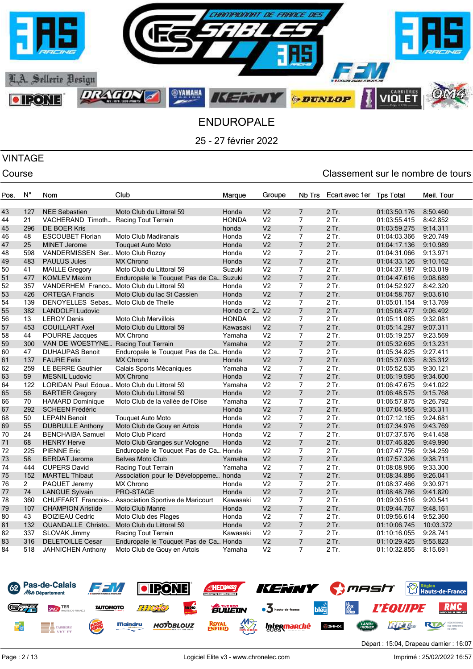

# VINTAGE

| Pos. | N°             | Nom                                  | Club                                        | Marque        | Groupe         | Nb Trs         | Ecart avec 1er | <b>Tps Total</b> | Meil. Tour |
|------|----------------|--------------------------------------|---------------------------------------------|---------------|----------------|----------------|----------------|------------------|------------|
|      |                |                                      |                                             |               |                |                |                |                  |            |
| 43   | 127            | <b>NEE Sebastien</b>                 | Moto Club du Littoral 59                    | Honda         | V <sub>2</sub> | $\overline{7}$ | 2 Tr.          | 01:03:50.176     | 8:50.460   |
| 44   | 21             | VACHERAND Timoth Racing Tout Terrain |                                             | <b>HONDA</b>  | V <sub>2</sub> | $\overline{7}$ | 2 Tr.          | 01:03:55.415     | 8:42.852   |
| 45   | 296            | <b>DE BOER Kris</b>                  |                                             | honda         | V <sub>2</sub> | $\overline{7}$ | 2 Tr.          | 01:03:59.275     | 9:14.311   |
| 46   | 48             | <b>ESCOUBET Florian</b>              | Moto Club Madiranais                        | Honda         | V <sub>2</sub> | $\overline{7}$ | 2 Tr.          | 01:04:03.366     | 9:20.749   |
| 47   | 25             | <b>MINET Jerome</b>                  | <b>Touquet Auto Moto</b>                    | Honda         | V <sub>2</sub> | $\overline{7}$ | 2 Tr.          | 01:04:17.136     | 9:10.989   |
| 48   | 598            | VANDERMISSEN Ser Moto Club Rozov     |                                             | Honda         | V <sub>2</sub> | $\overline{7}$ | 2 Tr.          | 01:04:31.066     | 9:13.971   |
| 49   | 483            | <b>PAULUS Jules</b>                  | <b>MX Chrono</b>                            | Honda         | V <sub>2</sub> | $\overline{7}$ | 2 Tr.          | 01:04:33.126     | 9:10.162   |
| 50   | 41             | <b>MAILLE Gregory</b>                | Moto Club du Littoral 59                    | Suzuki        | V <sub>2</sub> | $\overline{7}$ | 2 Tr.          | 01:04:37.187     | 9:03.019   |
| 51   | 477            | <b>KOMLEV Maxim</b>                  | Enduropale le Touquet Pas de Ca Suzuki      |               | V <sub>2</sub> | $\overline{7}$ | 2 Tr.          | 01:04:47.616     | 9:08.689   |
| 52   | 357            |                                      | VANDERHEM Franco Moto Club du Littoral 59   | Honda         | V <sub>2</sub> | $\overline{7}$ | $2$ Tr.        | 01:04:52.927     | 8:42.320   |
| 53   | 426            | <b>ORTEGA Francis</b>                | Moto Club du lac St Cassien                 | Honda         | V <sub>2</sub> | $\overline{7}$ | 2 Tr.          | 01:04:58.767     | 9:03.610   |
| 54   | 139            | DENOYELLES Sebas Moto Club de Thelle |                                             | Honda         | V <sub>2</sub> | $\overline{7}$ | 2 Tr.          | 01:05:01.154     | 9:13.769   |
| 55   | 382            | <b>LANDOLFI Ludovic</b>              |                                             | Honda cr 2 V2 |                | $\overline{7}$ | 2 Tr.          | 01:05:08.477     | 9:06.492   |
| 56   | 13             | <b>LEROY Denis</b>                   | Moto Club Mervillois                        | <b>HONDA</b>  | V <sub>2</sub> | $\overline{7}$ | 2 Tr.          | 01:05:11.085     | 9:32.081   |
| 57   | 453            | <b>COUILLART Axel</b>                | Moto Club du Littoral 59                    | Kawasaki      | V <sub>2</sub> | $\overline{7}$ | 2 Tr.          | 01:05:14.297     | 9:07.311   |
| 58   | 44             | POURRE Jacques                       | <b>MX Chrono</b>                            | Yamaha        | V <sub>2</sub> | $\overline{7}$ | 2 Tr.          | 01:05:19.257     | 9:23.569   |
| 59   | 300            | VAN DE WOESTYNE                      | <b>Racing Tout Terrain</b>                  | Yamaha        | V <sub>2</sub> | $\overline{7}$ | 2 Tr.          | 01:05:32.695     | 9:13.231   |
| 60   | 47             | <b>DUHAUPAS Benoit</b>               | Enduropale le Touquet Pas de Ca Honda       |               | V <sub>2</sub> | $\overline{7}$ | 2 Tr.          | 01:05:34.825     | 9:27.411   |
| 61   | 137            | <b>FAURE Felix</b>                   | <b>MX Chrono</b>                            | Honda         | V <sub>2</sub> | $\overline{7}$ | 2 Tr.          | 01:05:37.035     | 8:35.312   |
| 62   | 259            | LE BERRE Gauthier                    | Calais Sports Mécaniques                    | Yamaha        | V <sub>2</sub> | $\overline{7}$ | 2 Tr.          | 01:05:52.535     | 9:30.121   |
| 63   | 59             | <b>MESNIL Ludovic</b>                | <b>MX Chrono</b>                            | Honda         | V <sub>2</sub> | $\overline{7}$ | 2 Tr.          | 01:06:19.595     | 9:34.600   |
| 64   | 122            |                                      | LORIDAN Paul Edoua Moto Club du Littoral 59 | Yamaha        | V <sub>2</sub> | $\overline{7}$ | 2 Tr.          | 01:06:47.675     | 9:41.022   |
| 65   | 56             | <b>BARTIER Gregory</b>               | Moto Club du Littoral 59                    | Honda         | V <sub>2</sub> | $\overline{7}$ | 2 Tr.          | 01:06:48.575     | 9:15.768   |
| 66   | 70             | <b>HAMARD Dominique</b>              | Moto Club de la vallée de l'Oise            | Yamaha        | V <sub>2</sub> | $\overline{7}$ | 2 Tr.          | 01:06:57.875     | 9:26.792   |
| 67   | 292            | <b>SCHEEN Frédéric</b>               |                                             | Honda         | V <sub>2</sub> | $\overline{7}$ | 2 Tr.          | 01:07:04.955     | 9:35.311   |
| 68   | 50             | <b>LEPAIN Benoit</b>                 | <b>Touquet Auto Moto</b>                    | Honda         | V <sub>2</sub> | $\overline{7}$ | 2 Tr.          | 01:07:12.165     | 9:24.681   |
| 69   | 55             | <b>DUBRULLE Anthony</b>              | Moto Club de Gouy en Artois                 | Honda         | V <sub>2</sub> | $\overline{7}$ | 2 Tr.          | 01:07:34.976     | 9:43.769   |
| 70   | 24             | <b>BENCHAIBA Samuel</b>              | <b>Moto Club Picard</b>                     | Honda         | V <sub>2</sub> | $\overline{7}$ | $2$ Tr.        | 01:07:37.576     | 9:41.458   |
| 71   | 68             | <b>HENRY Herve</b>                   | Moto Club Granges sur Vologne               | Honda         | V <sub>2</sub> | $\overline{7}$ | 2 Tr.          | 01:07:46.826     | 9:49.990   |
| 72   | 225            | <b>PIENNE Eric</b>                   | Enduropale le Touquet Pas de Ca Honda       |               | V <sub>2</sub> | $\overline{7}$ | 2 Tr.          | 01:07:47.756     | 9:34.259   |
| 73   | 58             | <b>BERDAT Jerome</b>                 | <b>Belves Moto Club</b>                     | Yamaha        | V <sub>2</sub> | $\overline{7}$ | $2$ Tr.        | 01:07:57.326     | 9:38.711   |
| 74   | 444            | <b>CUPERS David</b>                  | Racing Tout Terrain                         | Yamaha        | V <sub>2</sub> | $\overline{7}$ | 2 Tr.          | 01:08:08.966     | 9:33.300   |
| 75   | 152            | <b>MARTEL Thibaut</b>                | Association pour le Développeme honda       |               | V <sub>2</sub> | $\overline{7}$ | 2 Tr.          | 01:08:34.886     | 9:26.041   |
| 76   | $\overline{2}$ | PAQUET Jeremy                        | <b>MX Chrono</b>                            | Honda         | V <sub>2</sub> | $\overline{7}$ | 2 Tr.          | 01:08:37.466     | 9:30.971   |
| 77   | 74             | <b>LANGUE Sylvain</b>                | PRO-STAGE                                   | Honda         | V <sub>2</sub> | $\overline{7}$ | 2 Tr.          | 01:08:48.786     | 9:41.820   |
| 78   | 360            | <b>CHUFFART Francois-.</b>           | Association Sportive de Maricourt           | Kawasaki      | V <sub>2</sub> | $\overline{7}$ | 2 Tr.          | 01:09:30.516     | 9:20.541   |
| 79   | 107            | <b>CHAMPION Aristide</b>             | <b>Moto Club Manre</b>                      | Honda         | V <sub>2</sub> | $\overline{7}$ | 2 Tr.          | 01:09:44.767     | 9:48.161   |
| 80   | 43             | <b>BOIZIEAU Cedric</b>               | Moto Club des Plages                        | Honda         | V <sub>2</sub> | $\overline{7}$ | $2$ Tr.        | 01:09:56.614     | 9:52.360   |
| 81   | 132            | QUANDALLE Christo                    | Moto Club du Littoral 59                    | Honda         | V <sub>2</sub> | $\overline{7}$ | 2 Tr.          | 01:10:06.745     | 10:03.372  |
| 82   | 337            | SLOVAK Jimmy                         | Racing Tout Terrain                         | Kawasaki      | V <sub>2</sub> | $\overline{7}$ | 2 Tr.          | 01:10:16.055     | 9:28.741   |
| 83   | 316            | <b>DELETOILLE Cesar</b>              | Enduropale le Touquet Pas de Ca Honda       |               | V <sub>2</sub> | $\overline{7}$ | 2 Tr.          | 01:10:29.425     | 9:55.823   |
| 84   | 518            | JAHNICHEN Anthony                    | Moto Club de Gouy en Artois                 | Yamaha        | V <sub>2</sub> | $\overline{7}$ | 2 Tr.          | 01:10:32.855     | 8:15.691   |

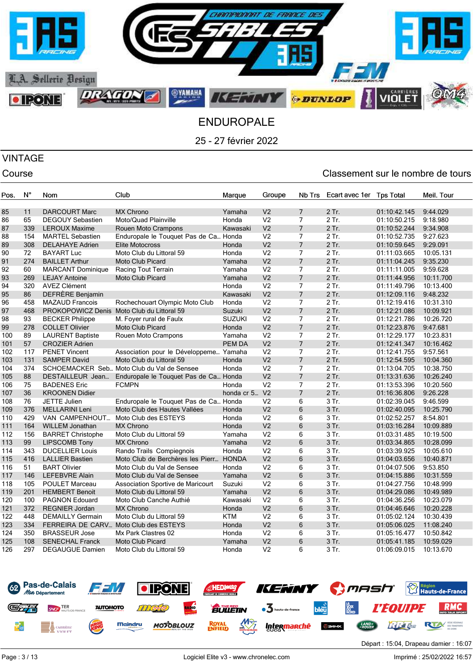

VINTAGE

### Course Classement sur le nombre de tours

| Pos. | $N^{\circ}$ | Nom                      | Club                                       | Marque        | Groupe         | Nb Trs          | Ecart avec 1er | <b>Tps Total</b> | Meil. Tour |
|------|-------------|--------------------------|--------------------------------------------|---------------|----------------|-----------------|----------------|------------------|------------|
|      |             |                          |                                            |               |                |                 |                |                  |            |
| 85   | 11          | <b>DARCOURT Marc</b>     | <b>MX Chrono</b>                           | Yamaha        | V <sub>2</sub> | $\overline{7}$  | 2 Tr.          | 01:10:42.145     | 9:44.029   |
| 86   | 65          | <b>DEGOUY Sebastien</b>  | Moto/Quad Plainville                       | Honda         | V <sub>2</sub> | $\overline{7}$  | 2 Tr.          | 01:10:50.215     | 9:18.980   |
| 87   | 339         | <b>LEROUX Maxime</b>     | Rouen Moto Crampons                        | Kawasaki      | V <sub>2</sub> | $\overline{7}$  | 2 Tr.          | 01:10:52.244     | 9:34.908   |
| 88   | 154         | <b>MARTEL Sebastien</b>  | Enduropale le Touquet Pas de Ca Honda      |               | V <sub>2</sub> | $\overline{7}$  | 2 Tr.          | 01:10:52.735     | 9:27.623   |
| 89   | 308         | <b>DELAHAYE Adrien</b>   | <b>Elite Motocross</b>                     | Honda         | V <sub>2</sub> | $\overline{7}$  | 2 Tr.          | 01:10:59.645     | 9:29.091   |
| 90   | 72          | <b>BAYART Luc</b>        | Moto Club du Littoral 59                   | Honda         | V <sub>2</sub> | $\overline{7}$  | 2 Tr.          | 01:11:03.665     | 10:05.131  |
| 91   | 274         | <b>BAILLET Arthur</b>    | <b>Moto Club Picard</b>                    | Yamaha        | V <sub>2</sub> | $\overline{7}$  | 2 Tr.          | 01:11:04.245     | 9:35.230   |
| 92   | 60          | <b>MARCANT Dominique</b> | Racing Tout Terrain                        | Yamaha        | V <sub>2</sub> | $\overline{7}$  | 2 Tr.          | 01:11:11.005     | 9:59.628   |
| 93   | 269         | <b>LEJAY Antoine</b>     | <b>Moto Club Picard</b>                    | Yamaha        | V <sub>2</sub> | $\overline{7}$  | 2 Tr.          | 01:11:44.956     | 10:11.700  |
| 94   | 320         | <b>AVEZ Clément</b>      |                                            | Honda         | V <sub>2</sub> | 7               | 2 Tr.          | 01:11:49.796     | 10:13.400  |
| 95   | 86          | DEFRÈRE Benjamin         |                                            | Kawasaki      | V <sub>2</sub> | $\overline{7}$  | 2 Tr.          | 01:12:09.116     | 9:48.232   |
| 96   | 458         | <b>MAZAUD Francois</b>   | Rochechouart Olympic Moto Club             | Honda         | V <sub>2</sub> | $\overline{7}$  | 2 Tr.          | 01:12:19.416     | 10:31.310  |
| 97   | 468         |                          | PROKOPOWICZ Denis Moto Club du Littoral 59 | Suzuki        | V <sub>2</sub> | $\overline{7}$  | 2 Tr.          | 01:12:21.086     | 10:09.921  |
| 98   | 93          | <b>BECKER Philippe</b>   | M. Foyer rural de Faulx                    | <b>SUZUKI</b> | V <sub>2</sub> | $\overline{7}$  | 2 Tr.          | 01:12:21.786     | 10:26.720  |
| 99   | 278         | <b>COLLET Olivier</b>    | <b>Moto Club Picard</b>                    | Honda         | V <sub>2</sub> | $\overline{7}$  | 2 Tr.          | 01:12:23.876     | 9:47.681   |
| 100  | 89          | <b>LAURENT Baptiste</b>  | Rouen Moto Crampons                        | Yamaha        | V <sub>2</sub> | $\overline{7}$  | 2 Tr.          | 01:12:29.177     | 10:23.831  |
| 101  | 57          | <b>CROZIER Adrien</b>    |                                            | <b>PEM DA</b> | V <sub>2</sub> | $\overline{7}$  | 2 Tr.          | 01:12:41.347     | 10:16.462  |
| 102  | 117         | <b>PENET Vincent</b>     | Association pour le Développeme Yamaha     |               | V <sub>2</sub> | $\overline{7}$  | 2 Tr.          | 01:12:41.755     | 9:57.561   |
| 103  | 131         | <b>SAMPER David</b>      | Moto Club du Littoral 59                   | Honda         | V <sub>2</sub> | $\overline{7}$  | 2 Tr.          | 01:12:54.595     | 10:04.360  |
| 104  | 374         |                          | SCHOEMACKER Seb Moto Club du Val de Sensee | Honda         | V <sub>2</sub> | $\overline{7}$  | 2 Tr.          | 01:13:04.705     | 10:38.750  |
| 105  | 88          | DESTAILLEUR Jean         | Enduropale le Touquet Pas de Ca Honda      |               | V <sub>2</sub> | $\overline{7}$  | 2 Tr.          | 01:13:31.636     | 10:26.240  |
| 106  | 75          | <b>BADENES Eric</b>      | <b>FCMPN</b>                               | Honda         | V <sub>2</sub> | $\overline{7}$  | 2 Tr.          | 01:13:53.396     | 10:20.560  |
| 107  | 36          | <b>KROONEN Didier</b>    |                                            | honda cr 5    | V <sub>2</sub> | $\overline{7}$  | 2 Tr.          | 01:16:36.806     | 9:26.228   |
| 108  | 76          | <b>JETTE Julien</b>      | Enduropale le Touquet Pas de Ca Honda      |               | V <sub>2</sub> | 6               | 3 Tr.          | 01:02:39.045     | 9:46.599   |
| 109  | 376         | <b>MELLARINI Leni</b>    | Moto Club des Hautes Vallées               | Honda         | V <sub>2</sub> | $6\phantom{1}6$ | 3 Tr.          | 01:02:40.095     | 10:25.790  |
| 110  | 429         | VAN CAMPENHOUT           | Moto Club des ESTEYS                       | Honda         | V <sub>2</sub> | 6               | 3 Tr.          | 01:02:52.257     | 8:54.801   |
| 111  | 164         | WILLEM Jonathan          | <b>MX Chrono</b>                           | Honda         | V <sub>2</sub> | 6               | 3 Tr.          | 01:03:16.284     | 10:09.889  |
| 112  | 156         | <b>BARRET Christophe</b> | Moto Club du Littoral 59                   | Yamaha        | V <sub>2</sub> | 6               | 3 Tr.          | 01:03:31.485     | 10:19.500  |
| 113  | 99          | <b>LIPSCOMB Tony</b>     | <b>MX Chrono</b>                           | Yamaha        | V <sub>2</sub> | 6               | 3 Tr.          | 01:03:34.865     | 10:28.099  |
| 114  | 343         | <b>DUCELLIER Louis</b>   | Rando Trails Compiegnois                   | Honda         | V <sub>2</sub> | 6               | 3 Tr.          | 01:03:39.925     | 10:05.610  |
| 115  | 416         | <b>LALLIER Bastien</b>   | Moto Club de Berchères les Pierr           | <b>HONDA</b>  | V <sub>2</sub> | 6               | 3 Tr.          | 01:04:03.656     | 10:40.871  |
| 116  | 51          | <b>BART Olivier</b>      | Moto Club du Val de Sensee                 | Honda         | V <sub>2</sub> | 6               | 3 Tr.          | 01:04:07.506     | 9:53.850   |
| 117  | 146         | <b>LEFEBVRE Alain</b>    | Moto Club du Val de Sensee                 | Yamaha        | V <sub>2</sub> | 6               | 3 Tr.          | 01:04:15.886     | 10:31.559  |
| 118  | 105         | <b>POULET Marceau</b>    | Association Sportive de Maricourt          | Suzuki        | V <sub>2</sub> | 6               | 3 Tr.          | 01:04:27.756     | 10:48.999  |
| 119  | 201         | <b>HEMBERT Benoit</b>    | Moto Club du Littoral 59                   | Yamaha        | V <sub>2</sub> | 6               | 3 Tr.          | 01:04:29.086     | 10:49.989  |
| 120  | 100         | <b>PAGNON Edouard</b>    | Moto Club Canche Authié                    | Kawasaki      | V <sub>2</sub> | 6               | 3 Tr.          | 01:04:36.256     | 10:23.079  |
| 121  | 372         | <b>REGNIER Jordan</b>    | <b>MX Chrono</b>                           | Honda         | V <sub>2</sub> | 6               | 3 Tr.          | 01:04:46.646     | 10:20.228  |
| 122  | 448         | <b>DEMAILLY Germain</b>  | Moto Club du Littoral 59                   | <b>KTM</b>    | V <sub>2</sub> | 6               | 3 Tr.          | 01:05:02.124     | 10:30.439  |
| 123  | 334         | FERREIRA DE CARV         | Moto Club des ESTEYS                       | Honda         | V <sub>2</sub> | $6\phantom{1}6$ | 3 Tr.          | 01:05:06.025     | 11:08.240  |
| 124  | 350         | <b>BRASSEUR Jose</b>     | Mx Park Clastres 02                        | Honda         | V <sub>2</sub> | 6               | 3 Tr.          | 01:05:16.477     | 10:50.842  |
| 125  | 108         | <b>SENECHAL Franck</b>   | <b>Moto Club Picard</b>                    | Yamaha        | V <sub>2</sub> | 6               | 3 Tr.          | 01:05:41.185     | 10:59.029  |
| 126  | 297         | DEGAUGUE Damien          | Moto Club du Littoral 59                   | Honda         | V <sub>2</sub> | 6               | 3 Tr.          | 01:06:09.015     | 10:13.670  |
|      |             |                          |                                            |               |                |                 |                |                  |            |



Départ : 15:04, Drapeau damier : 16:07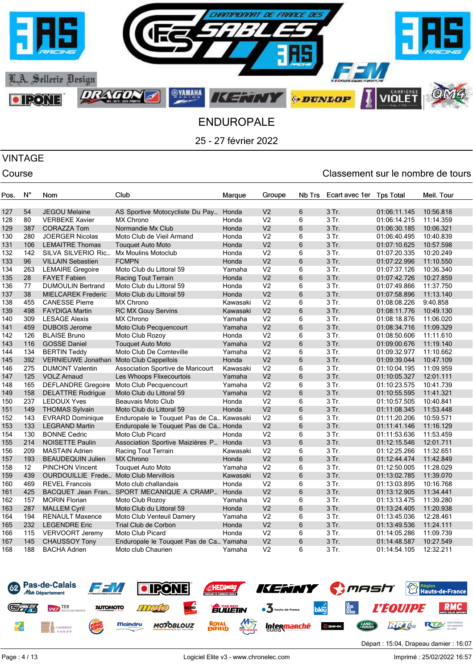

# VINTAGE

### Course Course Course Course Course Course Course Course Course Course Course Course Course Course Course Cours

| Pos. | N°  | Nom                                           | Club                                      | Marque   | Groupe         | Nb Trs | Ecart avec 1er | <b>Tps Total</b> | Meil. Tour |
|------|-----|-----------------------------------------------|-------------------------------------------|----------|----------------|--------|----------------|------------------|------------|
|      |     |                                               |                                           |          | V <sub>2</sub> | 6      | 3 Tr.          |                  |            |
| 127  | 54  | <b>JEGOU Melaine</b>                          | AS Sportive Motocycliste Du Pay           | Honda    |                |        |                | 01:06:11.145     | 10:56.818  |
| 128  | 80  | <b>VERBEKE Xavier</b>                         | <b>MX Chrono</b>                          | Honda    | V <sub>2</sub> | 6      | 3 Tr.          | 01:06:14.215     | 11:14.359  |
| 129  | 387 | <b>CORAZZA Tom</b>                            | Normandie Mx Club                         | Honda    | V <sub>2</sub> | 6      | 3 Tr.          | 01:06:30.185     | 10:06.321  |
| 130  | 280 | <b>JOERGER Nicolas</b>                        | Moto Club de Vieil Armand                 | Honda    | V <sub>2</sub> | 6      | 3 Tr.          | 01:06:40.495     | 10:40.839  |
| 131  | 106 | <b>LEMAITRE Thomas</b>                        | <b>Touquet Auto Moto</b>                  | Honda    | V <sub>2</sub> | 6      | 3 Tr.          | 01:07:10.625     | 10:57.598  |
| 132  | 142 | SILVA SILVERIO Ric                            | Mx Moulins Motoclub                       | Honda    | V <sub>2</sub> | 6      | 3 Tr.          | 01:07:20.335     | 10:20.249  |
| 133  | 96  | <b>VILLAIN Sebastien</b>                      | <b>FCMPN</b>                              | Honda    | V <sub>2</sub> | 6      | 3 Tr.          | 01:07:22.996     | 11:10.550  |
| 134  | 263 | <b>LEMAIRE Gregoire</b>                       | Moto Club du Littoral 59                  | Yamaha   | V <sub>2</sub> | 6      | 3 Tr.          | 01:07:37.126     | 10:36.340  |
| 135  | 28  | <b>FAYET Fabien</b>                           | Racing Tout Terrain                       | Honda    | V <sub>2</sub> | 6      | 3 Tr.          | 01:07:42.726     | 10:27.859  |
| 136  | 77  | <b>DUMOULIN Bertrand</b>                      | Moto Club du Littoral 59                  | Honda    | V <sub>2</sub> | 6      | 3 Tr.          | 01:07:49.866     | 11:37.750  |
| 137  | 38  | <b>MIELCAREK Frederic</b>                     | Moto Club du Littoral 59                  | Honda    | V <sub>2</sub> | 6      | 3 Tr.          | 01:07:58.896     | 11:13.140  |
| 138  | 455 | <b>CANESSE Pierre</b>                         | <b>MX Chrono</b>                          | Kawasaki | V <sub>2</sub> | 6      | 3 Tr.          | 01:08:08.226     | 9:40.858   |
| 139  | 498 | <b>FAYDIGA Martin</b>                         | <b>RC MX Gouy Servins</b>                 | Kawasaki | V <sub>2</sub> | 6      | 3 Tr.          | 01:08:11.776     | 10:49.130  |
| 140  | 309 | <b>LESAGE Alexis</b>                          | <b>MX Chrono</b>                          | Yamaha   | V <sub>2</sub> | 6      | 3 Tr.          | 01:08:18.876     | 11:06.020  |
| 141  | 459 | <b>DUBOIS Jerome</b>                          | Moto Club Pecquencourt                    | Yamaha   | V <sub>2</sub> | 6      | 3 Tr.          | 01:08:34.716     | 11:09.329  |
| 142  | 126 | <b>BLAISE Bruno</b>                           | Moto Club Rozoy                           | Honda    | V <sub>2</sub> | 6      | 3 Tr.          | 01:08:50.606     | 11:11.610  |
| 143  | 116 | <b>GOSSE Daniel</b>                           | <b>Touquet Auto Moto</b>                  | Yamaha   | V <sub>2</sub> | 6      | 3 Tr.          | 01:09:00.676     | 11:19.140  |
| 144  | 134 | <b>BERTIN Teddy</b>                           | Moto Club De Comteville                   | Yamaha   | V <sub>2</sub> | 6      | 3 Tr.          | 01:09:32.977     | 11:10.662  |
| 145  | 392 | VERNIEUWE Jonathan Moto Club Cappellois       |                                           | Honda    | V <sub>2</sub> | 6      | 3 Tr.          | 01:09:39.044     | 10:47.109  |
| 146  | 275 | <b>DUMONT Valentin</b>                        | Association Sportive de Maricourt         | Kawasaki | V <sub>2</sub> | 6      | 3 Tr.          | 01:10:04.195     | 11:09.959  |
| 147  | 125 | <b>VOLZ Arnaud</b>                            | Les Whoops Flixecourtois                  | Yamaha   | V <sub>2</sub> | 6      | 3 Tr.          | 01:10:05.327     | 12:01.111  |
| 148  | 165 | <b>DEFLANDRE Gregoire</b>                     | Moto Club Pecquencourt                    | Yamaha   | V <sub>2</sub> | 6      | 3 Tr.          | 01:10:23.575     | 10:41.739  |
| 149  | 158 | <b>DELATTRE Rodrigue</b>                      | Moto Club du Littoral 59                  | Yamaha   | V <sub>2</sub> | 6      | 3 Tr.          | 01:10:55.595     | 11:41.321  |
| 150  | 237 | <b>LEDOUX Yves</b>                            | Beauvais Moto Club                        | Honda    | V <sub>2</sub> | 6      | 3 Tr.          | 01:10:57.505     | 10:40.841  |
| 151  | 149 | <b>THOMAS Sylvain</b>                         | Moto Club du Littoral 59                  | Honda    | V <sub>2</sub> | 6      | 3 Tr.          | 01:11:08.345     | 11:53.448  |
| 152  | 143 | <b>EVRARD Dominique</b>                       | Enduropale le Touquet Pas de Ca Kawasaki  |          | V <sub>2</sub> | 6      | 3 Tr.          | 01:11:20.206     | 10:59.571  |
| 153  | 133 | <b>LEGRAND Martin</b>                         | Enduropale le Touquet Pas de Ca Honda     |          | V <sub>2</sub> | 6      | 3 Tr.          | 01:11:41.146     | 11:16.129  |
| 154  | 130 | <b>BONNE Cedric</b>                           | Moto Club Picard                          | Honda    | V <sub>2</sub> | 6      | 3 Tr.          | 01:11:53.636     | 11:53.459  |
| 155  | 214 | <b>NOISETTE Paulin</b>                        | Association Sportive Maizières P Honda    |          | V <sub>3</sub> | 6      | 3 Tr.          | 01:12:15.546     | 12:01.711  |
| 156  | 209 | <b>MASTAIN Adrien</b>                         | Racing Tout Terrain                       | Kawasaki | V <sub>2</sub> | 6      | 3 Tr.          | 01:12:25.266     | 11:32.651  |
| 157  | 193 | <b>BEAUDEQUIN Julien</b>                      | <b>MX Chrono</b>                          | Honda    | V <sub>2</sub> | 6      | 3 Tr.          | 01:12:44.474     | 11:42.849  |
| 158  | 12  | <b>PINCHON Vincent</b>                        | <b>Touquet Auto Moto</b>                  | Yamaha   | V <sub>2</sub> | 6      | 3 Tr.          | 01:12:50.005     | 11:28.029  |
| 159  | 439 | <b>OURDOUILLIE Frede Moto Club Mervillois</b> |                                           | Kawasaki | V <sub>2</sub> | 6      | 3 Tr.          | 01:13:02.785     | 11:39.070  |
| 160  | 469 | <b>REVEL Francois</b>                         | Moto club challandais                     | Honda    | V <sub>2</sub> | 6      | 3 Tr.          | 01:13:03.895     | 10:16.768  |
| 161  | 425 |                                               | BACQUET Jean Fran SPORT MECANIQUE A CRAMP | Honda    | V <sub>2</sub> | 6      | 3 Tr.          | 01:13:12.905     | 11:34.441  |
| 162  | 157 | <b>MORIN Florian</b>                          | Moto Club Rozoy                           | Yamaha   | V <sub>2</sub> | 6      | 3 Tr.          | 01:13:13.475     | 11:39.280  |
| 163  | 287 | <b>MALLEM Cyril</b>                           | Moto Club du Littoral 59                  | Honda    | V <sub>2</sub> | 6      | 3 Tr.          | 01:13:24.405     | 11:20.938  |
| 164  | 194 | <b>RENAULT Maxence</b>                        | Moto Club Venteuil Damery                 | Yamaha   | V <sub>2</sub> | 6      | 3 Tr.          | 01:13:45.036     | 12:28.461  |
| 165  | 232 | <b>LEGENDRE Eric</b>                          | Trial Club de Corbon                      | Honda    | V <sub>2</sub> | 6      | 3 Tr.          | 01:13:49.536     | 11:24.111  |
| 166  | 115 | <b>VERVOORT Jeremy</b>                        | Moto Club Picard                          | Honda    | V <sub>2</sub> | 6      | 3 Tr.          | 01:14:05.286     | 11:09.739  |
| 167  | 145 | <b>CHAUSSOY Tony</b>                          | Enduropale le Touquet Pas de Ca Yamaha    |          | V <sub>2</sub> | 6      | 3 Tr.          | 01:14:48.587     | 10:27.549  |
| 168  | 188 | <b>BACHA Adrien</b>                           | Moto club Chaurien                        | Yamaha   | V <sub>2</sub> | 6      | 3 Tr.          | 01:14:54.105     | 12:32.211  |



Départ : 15:04, Drapeau damier : 16:07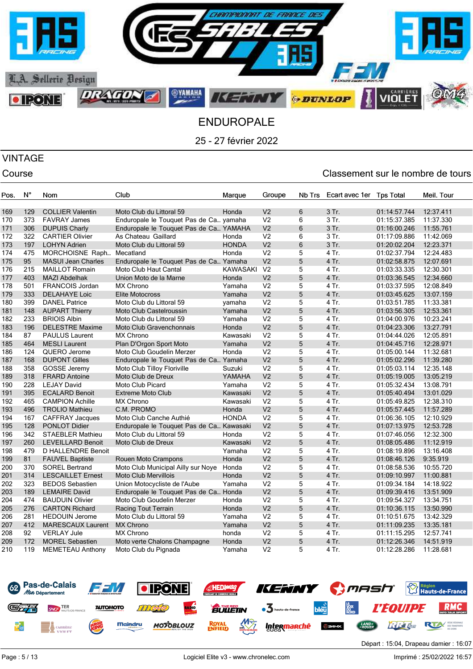

# VINTAGE

| Pos. | $N^{\circ}$ | Nom                       | Club                                     | Marque          | Groupe         | Nb Trs | Ecart avec 1er | <b>Tps Total</b> | Meil. Tour |
|------|-------------|---------------------------|------------------------------------------|-----------------|----------------|--------|----------------|------------------|------------|
|      |             |                           |                                          |                 |                |        |                |                  |            |
| 169  | 129         | <b>COLLIER Valentin</b>   | Moto Club du Littoral 59                 | Honda           | V <sub>2</sub> | 6      | 3 Tr.          | 01:14:57.744     | 12:37.411  |
| 170  | 373         | <b>FAVRAY James</b>       | Enduropale le Touquet Pas de Ca yamaha   |                 | V <sub>2</sub> | 6      | 3 Tr.          | 01:15:37.385     | 11:37.330  |
| 171  | 306         | <b>DUPUIS Charly</b>      | Enduropale le Touquet Pas de Ca YAMAHA   |                 | V <sub>2</sub> | 6      | 3 Tr.          | 01:16:00.246     | 11:55.761  |
| 172  | 322         | <b>CARTIER Olivier</b>    | As Chateau Gaillard                      | Honda           | V <sub>2</sub> | 6      | 3 Tr.          | 01:17:09.886     | 11:42.069  |
| 173  | 197         | <b>LOHYN Adrien</b>       | Moto Club du Littoral 59                 | <b>HONDA</b>    | V <sub>2</sub> | 6      | 3 Tr.          | 01:20:02.204     | 12:23.371  |
| 174  | 475         | MORCHOISNE Raph           | Mecatland                                | Honda           | V <sub>2</sub> | 5      | 4 Tr.          | 01:02:37.794     | 12:24.483  |
| 175  | 95          | <b>MASUI Jean Charles</b> | Enduropale le Touquet Pas de Ca Yamaha   |                 | V <sub>2</sub> | 5      | 4 Tr.          | 01:02:58.875     | 12:07.691  |
| 176  | 215         | <b>MAILLOT Romain</b>     | Moto Club Haut Cantal                    | <b>KAWASAKI</b> | V <sub>2</sub> | 5      | 4 Tr.          | 01:03:33.335     | 12:30.301  |
| 177  | 403         | <b>MAZI Abdelhak</b>      | Union Moto de la Marne                   | Honda           | V <sub>2</sub> | 5      | 4 Tr.          | 01:03:36.545     | 12:34.660  |
| 178  | 501         | FRANCOIS Jordan           | <b>MX Chrono</b>                         | Yamaha          | V <sub>2</sub> | 5      | 4 Tr.          | 01:03:37.595     | 12:08.849  |
| 179  | 333         | <b>DELAHAYE Loic</b>      | <b>Elite Motocross</b>                   | Yamaha          | V <sub>2</sub> | 5      | 4 Tr.          | 01:03:45.625     | 13:07.159  |
| 180  | 399         | <b>DANEL Patrice</b>      | Moto Club du Littoral 59                 | yamaha          | V <sub>2</sub> | 5      | 4 Tr.          | 01:03:51.785     | 11:33.381  |
| 181  | 148         | <b>AUPART Thierry</b>     | Moto Club Castelroussin                  | Yamaha          | V <sub>2</sub> | 5      | 4 Tr.          | 01:03:56.305     | 12:53.361  |
| 182  | 233         | <b>BRIOIS Albin</b>       | Moto Club du Littoral 59                 | Yamaha          | V <sub>2</sub> | 5      | 4 Tr.          | 01:04:00.976     | 10:23.241  |
| 183  | 196         | <b>DELESTRE Maxime</b>    | Moto Club Gravenchonnais                 | Honda           | V <sub>2</sub> | 5      | 4 Tr.          | 01:04:23.306     | 13:27.791  |
| 184  | 87          | <b>PAULUS Laurent</b>     | <b>MX Chrono</b>                         | Kawasaki        | V <sub>2</sub> | 5      | 4 Tr.          | 01:04:44.026     | 12:05.891  |
| 185  | 464         | <b>MESLI Laurent</b>      | Plan D'Orgon Sport Moto                  | Yamaha          | V <sub>2</sub> | 5      | 4 Tr.          | 01:04:45.716     | 12:28.971  |
| 186  | 124         | QUERO Jerome              | Moto Club Goudelin Merzer                | Honda           | V <sub>2</sub> | 5      | 4 Tr.          | 01:05:00.144     | 11:32.681  |
| 187  | 168         | <b>DUPONT Gilles</b>      | Enduropale le Touquet Pas de Ca Yamaha   |                 | V <sub>2</sub> | 5      | 4 Tr.          | 01:05:02.296     | 11:39.280  |
| 188  | 358         | <b>GOSSE</b> Jeremy       | Moto Club Tilloy Floriville              | Suzuki          | V <sub>2</sub> | 5      | 4 Tr.          | 01:05:03.114     | 12:35.148  |
| 189  | 318         | <b>FRARD Antoine</b>      | Moto Club de Dreux                       | YAMAHA          | V <sub>2</sub> | 5      | 4 Tr.          | 01:05:19.005     | 13:05.219  |
| 190  | 228         | <b>LEJAY David</b>        | Moto Club Picard                         | Yamaha          | V <sub>2</sub> | 5      | 4 Tr.          | 01:05:32.434     | 13:08.791  |
| 191  | 395         | <b>ECALARD Benoit</b>     | <b>Extreme Moto Club</b>                 | Kawasaki        | V <sub>2</sub> | 5      | 4 Tr.          | 01:05:40.494     | 13:01.029  |
| 192  | 465         | <b>CAMPION Achille</b>    | <b>MX Chrono</b>                         | Kawasaki        | V <sub>2</sub> | 5      | 4 Tr.          | 01:05:49.825     | 12:38.310  |
| 193  | 496         | <b>TROLIO Mathieu</b>     | C.M. PROMO                               | Honda           | V <sub>2</sub> | 5      | 4 Tr.          | 01:05:57.445     | 11:57.289  |
| 194  | 167         | <b>CAFFRAY Jacques</b>    | Moto Club Canche Authié                  | <b>HONDA</b>    | V <sub>2</sub> | 5      | 4 Tr.          | 01:06:36.105     | 12:10.929  |
| 195  | 128         | <b>PONLOT Didier</b>      | Enduropale le Touquet Pas de Ca Kawasaki |                 | V <sub>2</sub> | 5      | 4 Tr.          | 01:07:13.975     | 12:53.728  |
| 196  | 342         | <b>STAEBLER Mathieu</b>   | Moto Club du Littoral 59                 | Honda           | V <sub>2</sub> | 5      | 4 Tr.          | 01:07:46.056     | 12:32.300  |
| 197  | 260         | <b>LEVEILLARD Benoit</b>  | Moto Club de Dreux                       | Kawasaki        | V <sub>2</sub> | 5      | 4 Tr.          | 01:08:05.486     | 11:12.919  |
| 198  | 479         | D HALLENDRE Benoit        |                                          | Yamaha          | V <sub>2</sub> | 5      | 4 Tr.          | 01:08:19.896     | 13:16.408  |
| 199  | 81          | <b>FAUVEL Baptiste</b>    | Rouen Moto Crampons                      | Honda           | V <sub>2</sub> | 5      | 4 Tr.          | 01:08:46.126     | 9:35.919   |
| 200  | 370         | <b>SOREL Bertrand</b>     | Moto Club Municipal Ailly sur Noye       | Honda           | V <sub>2</sub> | 5      | 4 Tr.          | 01:08:58.536     | 10:55.720  |
| 201  | 314         | <b>LESCAILLET Ernest</b>  | <b>Moto Club Mervillois</b>              | Honda           | V <sub>2</sub> | 5      | 4 Tr.          | 01:09:10.997     | 11:00.881  |
| 202  | 323         | <b>BEDOS Sebastien</b>    | Union Motocycliste de l'Aube             | Yamaha          | V <sub>2</sub> | 5      | 4 Tr.          | 01:09:34.184     | 14:18.922  |
| 203  | 189         | <b>LEMAIRE David</b>      | Enduropale le Touquet Pas de Ca Honda    |                 | V <sub>2</sub> | 5      | 4 Tr.          | 01:09:39.416     | 13:51.909  |
| 204  | 474         | <b>BAUDUIN Olivier</b>    | Moto Club Goudelin Merzer                | Honda           | V <sub>2</sub> | 5      | 4 Tr.          | 01:09:54.327     | 13:34.751  |
| 205  | 276         | <b>CARTON Richard</b>     | Racing Tout Terrain                      | Honda           | V <sub>2</sub> | 5      | 4 Tr.          | 01:10:36.115     | 13:50.990  |
| 206  | 281         | <b>HEDOUIN Jerome</b>     | Moto Club du Littoral 59                 | Yamaha          | V <sub>2</sub> | 5      | 4 Tr.          | 01:10:51.675     | 13:42.329  |
| 207  | 412         | MARESCAUX Laurent         | <b>MX Chrono</b>                         | Yamaha          | V <sub>2</sub> | 5      | 4 Tr.          | 01:11:09.235     | 13:35.181  |
| 208  | 92          | <b>VERLAY Jule</b>        | <b>MX Chrono</b>                         | honda           | V <sub>2</sub> | 5      | 4 Tr.          | 01:11:15.295     | 12:57.741  |
| 209  | 172         | <b>MOREL Sebastien</b>    | Moto verte Chalons Champagne             | Honda           | V <sub>2</sub> | 5      | 4 Tr.          | 01:12:26.346     | 14:51.919  |
| 210  | 119         | <b>MEMETEAU Anthony</b>   | Moto Club du Pignada                     | Yamaha          | V <sub>2</sub> | 5      | 4 Tr.          | 01:12:28.286     | 11:28.681  |
|      |             |                           |                                          |                 |                |        |                |                  |            |

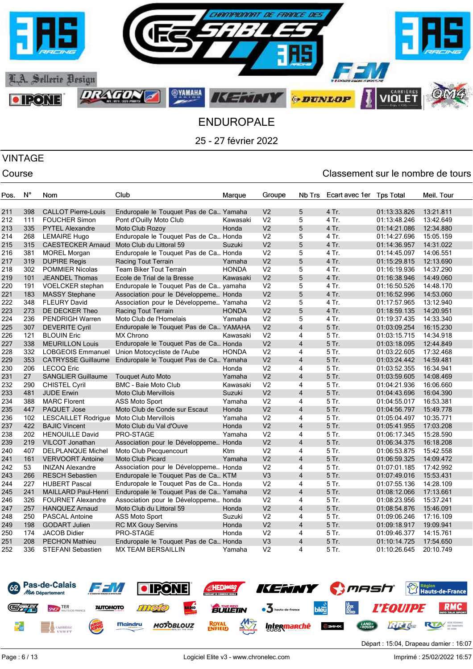

# VINTAGE

| Pos. | N°  | Nom                        | Club                                   | Marque       | Groupe         | Nb Trs                  | Ecart avec 1er | <b>Tps Total</b> | Meil. Tour |
|------|-----|----------------------------|----------------------------------------|--------------|----------------|-------------------------|----------------|------------------|------------|
|      | 398 |                            |                                        |              | V <sub>2</sub> | 5                       | 4 Tr.          |                  |            |
| 211  |     | <b>CALLOT Pierre-Louis</b> | Enduropale le Touquet Pas de Ca Yamaha |              |                | 5                       |                | 01:13:33.826     | 13:21.811  |
| 212  | 111 | <b>FOUCHER Simon</b>       | Pont d'Ouilly Moto Club                | Kawasaki     | V <sub>2</sub> |                         | 4 Tr.          | 01:13:48.246     | 13:42.649  |
| 213  | 335 | <b>PYTEL Alexandre</b>     | Moto Club Rozoy                        | Honda        | V <sub>2</sub> | 5                       | 4 Tr.          | 01:14:21.086     | 12:34.880  |
| 214  | 268 | <b>LEMAIRE Hugo</b>        | Enduropale le Touquet Pas de Ca Honda  |              | V <sub>2</sub> | 5                       | 4 Tr.          | 01:14:27.696     | 15:05.159  |
| 215  | 315 | <b>CAESTECKER Arnaud</b>   | Moto Club du Littoral 59               | Suzuki       | V <sub>2</sub> | 5                       | 4 Tr.          | 01:14:36.957     | 14:31.022  |
| 216  | 381 | <b>MOREL Morgan</b>        | Enduropale le Touquet Pas de Ca Honda  |              | V <sub>2</sub> | 5                       | 4 Tr.          | 01:14:45.097     | 14:06.551  |
| 217  | 319 | <b>DUPIRE Regis</b>        | Racing Tout Terrain                    | Yamaha       | V <sub>2</sub> | 5                       | 4 Tr.          | 01:15:29.815     | 12:13.690  |
| 218  | 302 | <b>POMMIER Nicolas</b>     | <b>Team Biker Tout Terrain</b>         | <b>HONDA</b> | V <sub>2</sub> | 5                       | 4 Tr.          | 01:16:19.936     | 14:37.290  |
| 219  | 101 | <b>JEANDEL Thomas</b>      | Ecole de Trial de la Bresse            | Kawasaki     | V <sub>2</sub> | 5                       | 4 Tr.          | 01:16:38.946     | 14:49.060  |
| 220  | 191 | <b>VOELCKER</b> stephan    | Enduropale le Touquet Pas de Ca yamaha |              | V <sub>2</sub> | 5                       | 4 Tr.          | 01:16:50.526     | 14:48.170  |
| 221  | 183 | <b>MASSY Stephane</b>      | Association pour le Développeme Honda  |              | V <sub>2</sub> | 5                       | 4 Tr.          | 01:16:52.996     | 14:53.060  |
| 222  | 348 | <b>FLEURY David</b>        | Association pour le Développeme Yamaha |              | V <sub>2</sub> | 5                       | 4 Tr.          | 01:17:57.965     | 13:12.940  |
| 223  | 273 | DE DECKER Theo             | Racing Tout Terrain                    | <b>HONDA</b> | V <sub>2</sub> | 5                       | 4 Tr.          | 01:18:59.135     | 14:20.951  |
| 224  | 236 | <b>PENDRIGH Warren</b>     | Moto Club de l'Homelais                | Yamaha       | V <sub>2</sub> | 5                       | 4 Tr.          | 01:19:37.435     | 14:33.340  |
| 225  | 307 | <b>DEVERITE Cyril</b>      | Enduropale le Touquet Pas de Ca YAMAHA |              | V <sub>2</sub> | $\overline{\mathbf{4}}$ | 5 Tr.          | 01:03:09.254     | 16:15.230  |
| 226  | 121 | <b>BLOUIN Eric</b>         | <b>MX Chrono</b>                       | Kawasaki     | V <sub>2</sub> | 4                       | 5 Tr.          | 01:03:15.715     | 14:34.918  |
| 227  | 338 | <b>MEURILLON Louis</b>     | Enduropale le Touquet Pas de Ca Honda  |              | V <sub>2</sub> | $\overline{4}$          | 5 Tr.          | 01:03:18.095     | 12:44.849  |
| 228  | 332 | <b>LOBGEOIS Emmanuel</b>   | Union Motocycliste de l'Aube           | <b>HONDA</b> | V <sub>2</sub> | 4                       | 5 Tr.          | 01:03:22.605     | 17:32.468  |
| 229  | 353 | <b>CATRYSSE Guillaume</b>  | Enduropale le Touquet Pas de Ca Yamaha |              | V <sub>2</sub> | $\overline{4}$          | 5 Tr.          | 01:03:24.442     | 14:59.481  |
| 230  | 206 | <b>LECOQ Eric</b>          |                                        | Honda        | V <sub>2</sub> | 4                       | 5 Tr.          | 01:03:52.355     | 16:34.941  |
| 231  | 27  | <b>SANGLIER Guillaume</b>  | <b>Touguet Auto Moto</b>               | Yamaha       | V <sub>2</sub> | $\overline{4}$          | 5 Tr.          | 01:03:59.605     | 14:08.469  |
| 232  | 290 | <b>CHISTEL Cyril</b>       | <b>BMC - Baie Moto Club</b>            | Kawasaki     | V <sub>2</sub> | 4                       | 5 Tr.          | 01:04:21.936     | 16:06.660  |
| 233  | 481 | <b>JUDE Erwin</b>          | <b>Moto Club Mervillois</b>            | Suzuki       | V <sub>2</sub> | $\overline{4}$          | 5 Tr.          | 01:04:43.696     | 16:04.390  |
| 234  | 388 | <b>MARC Florent</b>        | <b>ASS Moto Sport</b>                  | Yamaha       | V <sub>2</sub> | $\overline{\mathbf{4}}$ | 5 Tr.          | 01:04:55.017     | 16:53.381  |
| 235  | 447 | <b>PAQUET Jose</b>         | Moto Club de Conde sur Escaut          | Honda        | V <sub>2</sub> | $\overline{\mathbf{4}}$ | 5 Tr.          | 01:04:56.797     | 15:49.778  |
| 236  | 102 | <b>LESCAILLET Rodrigue</b> | Moto Club Mervillois                   | Yamaha       | V <sub>2</sub> | 4                       | 5 Tr.          | 01:05:04.497     | 10:35.771  |
| 237  | 422 | <b>BAJIC Vincent</b>       | Moto Club du Val d'Ouve                | Honda        | V <sub>2</sub> | $\overline{4}$          | 5 Tr.          | 01:05:41.955     | 17:03.208  |
| 238  | 202 | <b>HENOUILLE David</b>     | PRO-STAGE                              | Yamaha       | V <sub>2</sub> | 4                       | 5 Tr.          | 01:06:17.345     | 15:28.590  |
| 239  | 219 | <b>VILCOT Jonathan</b>     | Association pour le Développeme Honda  |              | V <sub>2</sub> | $\overline{4}$          | 5 Tr.          | 01:06:34.375     | 16:18.208  |
| 240  | 407 | <b>DELPLANQUE Michel</b>   | Moto Club Pecquencourt                 | Ktm          | V <sub>2</sub> | 4                       | 5 Tr.          | 01:06:53.875     | 15:42.558  |
| 241  | 161 | <b>VERVOORT Antoine</b>    | <b>Moto Club Picard</b>                | Yamaha       | V <sub>2</sub> | $\overline{4}$          | 5 Tr.          | 01:06:59.325     | 14:09.472  |
| 242  | 53  | <b>INIZAN Alexandre</b>    | Association pour le Développeme Honda  |              | V <sub>2</sub> | 4                       | 5 Tr.          | 01:07:01.185     | 17:42.992  |
| 243  | 266 | <b>RESCH Sebastien</b>     | Enduropale le Touquet Pas de Ca KTM    |              | V <sub>3</sub> | $\overline{4}$          | 5 Tr.          | 01:07:49.016     | 15:53.431  |
| 244  | 227 | <b>HUBERT Pascal</b>       | Enduropale le Touquet Pas de Ca Honda  |              | V <sub>2</sub> | 4                       | 5 Tr.          | 01:07:55.136     | 14:28.109  |
| 245  | 241 | <b>MAILLARD Paul-Henri</b> | Enduropale le Touquet Pas de Ca Yamaha |              | V <sub>2</sub> | $\overline{\mathbf{4}}$ | 5 Tr.          | 01:08:12.066     | 17:13.661  |
| 246  | 326 | <b>FOURNET Alexandre</b>   | Association pour le Développeme honda  |              | V <sub>2</sub> | 4                       | 5 Tr.          | 01:08:23.956     | 15:37.241  |
| 247  | 257 | <b>HANQUEZ Arnaud</b>      | Moto Club du Littoral 59               | Honda        | V <sub>2</sub> | $\overline{4}$          | 5 Tr.          | 01:08:54.876     | 15:46.091  |
| 248  | 250 | <b>PASCAL Antoine</b>      | <b>ASS Moto Sport</b>                  | Suzuki       | V <sub>2</sub> | $\overline{4}$          | 5 Tr.          | 01:09:06.246     | 17:16.109  |
| 249  | 198 | <b>GODART Julien</b>       | <b>RC MX Gouy Servins</b>              | Honda        | V <sub>2</sub> | $\overline{\mathbf{4}}$ | 5 Tr.          | 01:09:18.917     | 19:09.941  |
| 250  | 174 | <b>JACOB Didier</b>        | PRO-STAGE                              | Honda        | V <sub>2</sub> | 4                       | 5 Tr.          | 01:09:46.377     | 14:15.761  |
| 251  | 208 | <b>PECHON Mathieu</b>      | Enduropale le Touquet Pas de Ca Honda  |              | V <sub>3</sub> | $\overline{4}$          | 5 Tr.          | 01:10:14.725     | 17:54.650  |
| 252  | 336 | <b>STEFANI Sebastien</b>   | <b>MX TEAM BERSAILLIN</b>              | Yamaha       | V <sub>2</sub> | 4                       | 5 Tr.          | 01:10:26.645     | 20:10.749  |
|      |     |                            |                                        |              |                |                         |                |                  |            |

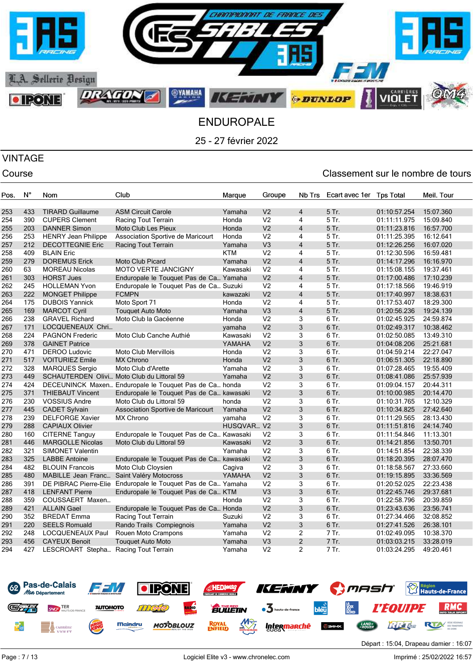

# VINTAGE

### Course Course Course Course Course Course Course Course Course Course Course Course Course Course Course Cours

| Pos. | N°  | Nom                                  | Club                                                         | Marque     | Groupe         | Nb Trs                  | Ecart avec 1er | <b>Tps Total</b> | Meil. Tour |
|------|-----|--------------------------------------|--------------------------------------------------------------|------------|----------------|-------------------------|----------------|------------------|------------|
|      |     |                                      |                                                              |            |                |                         |                |                  |            |
| 253  | 433 | <b>TIRARD Guillaume</b>              | <b>ASM Circuit Carole</b>                                    | Yamaha     | V <sub>2</sub> | $\overline{4}$          | 5 Tr.          | 01:10:57.254     | 15:07.360  |
| 254  | 390 | <b>CUPERS Clement</b>                | Racing Tout Terrain                                          | Honda      | V <sub>2</sub> | 4                       | 5 Tr.          | 01:11:11.975     | 15:09.840  |
| 255  | 203 | <b>DANNER Simon</b>                  | Moto Club Les Pieux                                          | Honda      | V <sub>2</sub> | $\overline{4}$          | 5 Tr.          | 01:11:23.816     | 16:57.700  |
| 256  | 253 | <b>HENRY Jean Philippe</b>           | Association Sportive de Maricourt                            | Honda      | V <sub>2</sub> | 4                       | 5 Tr.          | 01:11:25.395     | 16:12.641  |
| 257  | 212 | <b>DECOTTEGNIE Eric</b>              | Racing Tout Terrain                                          | Yamaha     | V <sub>3</sub> | $\overline{4}$          | 5 Tr.          | 01:12:26.256     | 16:07.020  |
| 258  | 409 | <b>BLAIN Eric</b>                    |                                                              | <b>KTM</b> | V <sub>2</sub> | 4                       | 5 Tr.          | 01:12:30.596     | 16:59.481  |
| 259  | 279 | <b>DOREMUS Erick</b>                 | <b>Moto Club Picard</b>                                      | Yamaha     | V <sub>2</sub> | $\overline{\mathbf{4}}$ | 5 Tr.          | 01:14:17.296     | 16:16.970  |
| 260  | 63  | <b>MOREAU Nicolas</b>                | <b>MOTO VERTE JANCIGNY</b>                                   | Kawasaki   | V <sub>2</sub> | 4                       | 5 Tr.          | 01:15:08.155     | 19:37.461  |
| 261  | 303 | <b>HORST Jues</b>                    | Enduropale le Touquet Pas de Ca Yamaha                       |            | V <sub>2</sub> | 4                       | 5 Tr.          | 01:17:00.486     | 17:10.239  |
| 262  | 245 | <b>HOLLEMAN Yvon</b>                 | Enduropale le Touquet Pas de Ca Suzuki                       |            | V <sub>2</sub> | 4                       | 5 Tr.          | 01:17:18.566     | 19:46.919  |
| 263  | 222 | <b>MONGET Philippe</b>               | <b>FCMPN</b>                                                 | kawazaki   | V <sub>2</sub> | $\overline{4}$          | 5 Tr.          | 01:17:40.997     | 18:38.631  |
| 264  | 175 | <b>DUBOIS Yannick</b>                | Moto Sport 71                                                | Honda      | V <sub>2</sub> | 4                       | 5 Tr.          | 01:17:53.407     | 18:29.300  |
| 265  | 169 | <b>MARCOT Cyril</b>                  | <b>Touquet Auto Moto</b>                                     | Yamaha     | V <sub>3</sub> | $\overline{4}$          | 5 Tr.          | 01:20:56.236     | 19:24.139  |
| 266  | 238 | <b>GRAVEL Richard</b>                | Moto Club la Gacéenne                                        | Honda      | V <sub>2</sub> | 3                       | 6 Tr.          | 01:02:45.925     | 24:59.874  |
| 267  | 171 | LOCQUENEAUX Chri                     |                                                              | yamaha     | V <sub>2</sub> | 3                       | 6 Tr.          | 01:02:49.317     | 10:38.462  |
| 268  | 224 | <b>PAGNON Frederic</b>               | Moto Club Canche Authié                                      | Kawasaki   | V <sub>2</sub> | 3                       | 6 Tr.          | 01:02:50.085     | 13:49.310  |
| 269  | 378 | <b>GAINET Patrice</b>                |                                                              | YAMAHA     | V <sub>2</sub> | 3                       | 6 Tr.          | 01:04:08.206     | 25:21.681  |
| 270  | 471 | <b>DEROO Ludovic</b>                 | Moto Club Mervillois                                         | Honda      | V <sub>2</sub> | 3                       | 6 Tr.          | 01:04:59.214     | 22:27.047  |
| 271  | 517 | <b>VOITURIEZ Emile</b>               | <b>MX Chrono</b>                                             | Honda      | V <sub>2</sub> | 3                       | 6 Tr.          | 01:06:51.305     | 22:18.890  |
| 272  | 328 | <b>MARQUES Sergio</b>                | Moto Club d'Arette                                           | Yamaha     | V <sub>2</sub> | 3                       | 6 Tr.          | 01:07:28.465     | 19:55.409  |
| 273  | 449 |                                      | SCHAUTERDEN Olivi Moto Club du Littoral 59                   | Yamaha     | V <sub>2</sub> | 3                       | 6 Tr.          | 01:08:41.086     | 25:57.939  |
| 274  | 424 |                                      | DECEUNINCK Maxen Enduropale le Touquet Pas de Ca honda       |            | V <sub>2</sub> | 3                       | 6 Tr.          | 01:09:04.157     | 20:44.311  |
| 275  | 371 | <b>THIEBAUT Vincent</b>              | Enduropale le Touquet Pas de Ca kawasaki                     |            | V <sub>2</sub> | 3                       | 6 Tr.          | 01:10:00.985     | 20:14.470  |
| 276  | 230 | <b>VOSSIUS Andre</b>                 | Moto Club du Littoral 59                                     | honda      | V <sub>2</sub> | 3                       | 6 Tr.          | 01:10:31.765     | 12:10.329  |
| 277  | 445 | <b>CADET Sylvain</b>                 | Association Sportive de Maricourt                            | Yamaha     | V <sub>2</sub> | 3                       | 6 Tr.          | 01:10:34.825     | 27:42.640  |
| 278  | 239 | <b>DELFORGE Xavier</b>               | MX Chrono                                                    | yamaha     | V <sub>2</sub> | 3                       | 6 Tr.          | 01:11:29.565     | 28:13.430  |
| 279  | 288 | <b>CAPIAUX Olivier</b>               |                                                              | HUSQVAR V2 |                | 3                       | 6 Tr.          | 01:11:51.816     | 24:14.740  |
| 280  | 160 | <b>CITERNE Tanguy</b>                | Enduropale le Touquet Pas de Ca Kawasaki                     |            | V <sub>2</sub> | 3                       | 6 Tr.          | 01:11:54.846     | 11:13.301  |
| 281  | 446 | <b>MARGOLLE Nicolas</b>              | Moto Club du Littoral 59                                     | Kawasaki   | V <sub>2</sub> | 3                       | 6 Tr.          | 01:14:21.856     | 13:50.701  |
| 282  | 321 | <b>SIMONET Valentin</b>              |                                                              | Yamaha     | V <sub>2</sub> | 3                       | 6 Tr.          | 01:14:51.854     | 22:38.339  |
| 283  | 325 | <b>LABBE Antoine</b>                 | Enduropale le Touquet Pas de Ca kawasaki                     |            | V <sub>2</sub> | 3                       | 6 Tr.          | 01:18:20.395     | 28:07.470  |
| 284  | 482 | <b>BLOUIN Francois</b>               | Moto Club Cloysien                                           | Cagiva     | V <sub>2</sub> | 3                       | 6 Tr.          | 01:18:58.567     | 27:33.660  |
| 285  | 480 | MABILLE Jean Franc                   | Saint Valéry Motocross                                       | YAMAHA     | V <sub>2</sub> | 3                       | 6 Tr.          | 01:19:15.895     | 33:36.569  |
| 286  | 391 |                                      | DE PIBRAC Pierre-Elie Enduropale le Touquet Pas de Ca Yamaha |            | V <sub>2</sub> | 3                       | 6 Tr.          | 01:20:52.025     | 22:23.438  |
| 287  | 418 | <b>LENFANT Pierre</b>                | Enduropale le Touquet Pas de Ca KTM                          |            | V <sub>3</sub> | 3                       | 6 Tr.          | 01:22:45.746     | 29:37.681  |
| 288  | 359 | COUSSAERT Maxen                      |                                                              | Honda      | V <sub>2</sub> | 3                       | 6 Tr.          | 01:22:58.796     | 20:39.859  |
| 289  | 421 | <b>ALLAIN Gael</b>                   | Enduropale le Touquet Pas de Ca Honda                        |            | V <sub>2</sub> | 3                       | 6 Tr.          | 01:23:43.636     | 23:56.741  |
| 290  | 352 | <b>BREDAT Emma</b>                   | Racing Tout Terrain                                          | Suzuki     | V <sub>2</sub> | 3                       | 6 Tr.          | 01:27:34.466     | 32:08.852  |
| 291  | 220 | <b>SEELS Romuald</b>                 | Rando Trails Compiegnois                                     | Yamaha     | V <sub>2</sub> | 3                       | 6 Tr.          | 01:27:41.526     | 26:38.101  |
| 292  | 248 | <b>LOCQUENEAUX Paul</b>              | Rouen Moto Crampons                                          | Yamaha     | V <sub>2</sub> | $\overline{c}$          | 7 Tr.          | 01:02:49.095     | 10:38.370  |
| 293  | 456 | <b>CAYEUX Benoit</b>                 | <b>Touguet Auto Moto</b>                                     | Yamaha     | V <sub>3</sub> | $\overline{2}$          | 7 Tr.          | 01:03:03.215     | 33:28.019  |
| 294  | 427 | LESCROART Stepha Racing Tout Terrain |                                                              | Yamaha     | V <sub>2</sub> | $\overline{2}$          | 7 Tr.          | 01:03:24.295     | 49:20.461  |
|      |     |                                      |                                                              |            |                |                         |                |                  |            |



Départ : 15:04, Drapeau damier : 16:07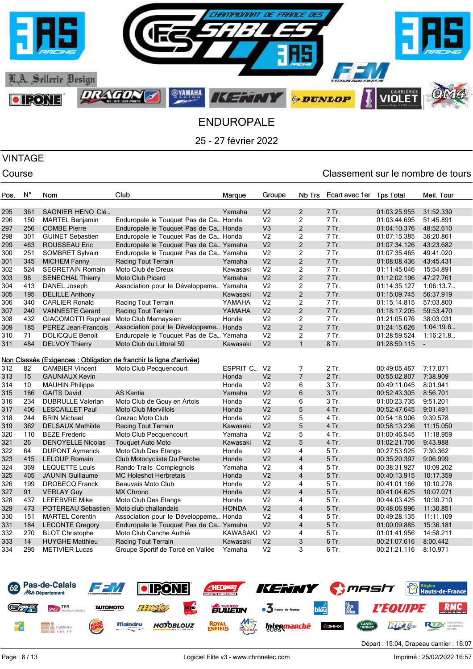

# VINTAGE

| Pos. | $N^{\circ}$ | Nom                      | Club                                                                | Marque       | Groupe         | Nb Trs                  | Ecart avec 1er | <b>Tps Total</b> | Meil. Tour               |
|------|-------------|--------------------------|---------------------------------------------------------------------|--------------|----------------|-------------------------|----------------|------------------|--------------------------|
|      |             |                          |                                                                     |              |                |                         |                |                  |                          |
| 295  | 361         | SAGNIER HENO CIé         |                                                                     | Yamaha       | V <sub>2</sub> | 2                       | 7 Tr.          | 01:03:25.955     | 31:52.330                |
| 296  | 150         | <b>MARTEL Benjamin</b>   | Enduropale le Touquet Pas de Ca Honda                               |              | V <sub>2</sub> | 2                       | 7 Tr.          | 01:03:44.695     | 51:45.891                |
| 297  | 256         | <b>COMBE Pierre</b>      | Enduropale le Touquet Pas de Ca Honda                               |              | V <sub>3</sub> | $\overline{2}$          | 7 Tr.          | 01:04:10.376     | 48:52.610                |
| 298  | 301         | <b>GUINET Sebastien</b>  | Enduropale le Touquet Pas de Ca Honda                               |              | V <sub>2</sub> | $\overline{c}$          | 7 Tr.          | 01:07:15.385     | 36:20.861                |
| 299  | 463         | <b>ROUSSEAU Eric</b>     | Enduropale le Touquet Pas de Ca Yamaha                              |              | V <sub>2</sub> | $\overline{2}$          | 7 Tr.          | 01:07:34.126     | 43:23.682                |
| 300  | 251         | <b>SOMBRET Sylvain</b>   | Enduropale le Touquet Pas de Ca Yamaha                              |              | V <sub>2</sub> | $\overline{2}$          | 7 Tr.          | 01:07:35.465     | 49:41.020                |
| 301  | 345         | <b>MICHEM Fanny</b>      | Racing Tout Terrain                                                 | Yamaha       | V <sub>2</sub> | $\overline{c}$          | 7 Tr.          | 01:08:08.436     | 43:45.431                |
| 302  | 524         | <b>SEGRETAIN Romain</b>  | Moto Club de Dreux                                                  | Kawasaki     | V <sub>2</sub> | $\overline{2}$          | 7 Tr.          | 01:11:45.046     | 15:54.891                |
| 303  | 98          | <b>SENECHAL Thierry</b>  | <b>Moto Club Picard</b>                                             | Yamaha       | V <sub>2</sub> | $\overline{c}$          | 7 Tr.          | 01:12:02.196     | 47:27.761                |
| 304  | 413         | DANEL Joseph             | Association pour le Développeme Yamaha                              |              | V <sub>2</sub> | $\overline{c}$          | 7 Tr.          | 01:14:35.127     | 1:06:13.7                |
| 305  | 195         | <b>DELILLE Anthony</b>   |                                                                     | Kawasaki     | V <sub>2</sub> | $\overline{2}$          | 7 Tr.          | 01:15:09.745     | 56:37.919                |
| 306  | 340         | <b>CARLIER Ronald</b>    | Racing Tout Terrain                                                 | YAMAHA       | V <sub>2</sub> | $\overline{c}$          | 7 Tr.          | 01:15:14.815     | 57:03.800                |
| 307  | 240         | <b>VANNESTE Gerard</b>   | Racing Tout Terrain                                                 | YAMAHA       | V <sub>2</sub> | $\mathbf{2}$            | 7 Tr.          | 01:18:17.205     | 59:53.470                |
| 308  | 432         | GIACOMOTTI Raphael       | Moto Club Marnaysien                                                | Honda        | V <sub>2</sub> | $\overline{c}$          | 7 Tr.          | 01:21:05.076     | 38:03.031                |
| 309  | 185         | PEREZ Jean-Francois      | Association pour le Développeme Honda                               |              | V <sub>2</sub> | $\overline{2}$          | 7 Tr.          | 01:24:15.626     | 1:04:19.6                |
| 310  | 71          | <b>DOLICQUE Benoit</b>   | Enduropale le Touquet Pas de Ca Yamaha                              |              | V <sub>2</sub> | 2                       | 7 Tr.          | 01:28:59.524     | 1:16:21.8                |
| 311  | 484         | <b>DELVOY Thierry</b>    | Moto Club du Littoral 59                                            | Kawasaki     | V <sub>2</sub> | $\mathbf{1}$            | 8 Tr.          | 01:28:59.115     | $\overline{\phantom{a}}$ |
|      |             |                          |                                                                     |              |                |                         |                |                  |                          |
|      |             |                          | Non Classés (Exigences : Obligation de franchir la ligne d'arrivée) |              |                |                         |                |                  |                          |
| 312  | 82          | <b>CAMBIER Vincent</b>   | Moto Club Pecquencourt                                              | ESPRIT C     | V <sub>2</sub> | $\overline{7}$          | 2 Tr.          | 00:49:05.467     | 7:17.071                 |
| 313  | 15          | <b>GAUNIAUX Kevin</b>    |                                                                     | Honda        | V <sub>2</sub> | $\overline{7}$          | 2 Tr.          | 00:55:02.807     | 7:38.909                 |
| 314  | 10          | <b>MAUHIN Philippe</b>   |                                                                     | Honda        | V <sub>2</sub> | 6                       | $3$ Tr.        | 00:49:11.045     | 8:01.941                 |
| 315  | 186         | <b>GAITS David</b>       | <b>AS Kantia</b>                                                    | Yamaha       | V <sub>2</sub> | 6                       | 3 Tr.          | 00:52:43.305     | 8:56.701                 |
| 316  | 234         | <b>DUBRULLE Valerian</b> | Moto Club de Gouy en Artois                                         | Honda        | V <sub>2</sub> | 6                       | 3 Tr.          | 01:00:23.735     | 9:51.201                 |
| 317  | 406         | <b>LESCAILLET Paul</b>   | <b>Moto Club Mervillois</b>                                         | Honda        | V <sub>2</sub> | 5                       | 4 Tr.          | 00:52:47.645     | 9:01.491                 |
| 318  | 244         | <b>BRIN Michael</b>      | Grezac Moto Club                                                    | Honda        | V <sub>2</sub> | 5                       | 4 Tr.          | 00:54:18.906     | 9:39.578                 |
| 319  | 362         | <b>DELSAUX Mathilde</b>  | Racing Tout Terrain                                                 | Kawasaki     | V <sub>2</sub> | 5                       | 4 Tr.          | 00:58:13.236     | 11:15.050                |
| 320  | 110         | <b>BEZE Frederic</b>     | Moto Club Pecquencourt                                              | Yamaha       | V <sub>2</sub> | 5                       | 4 Tr.          | 01:00:46.545     | 11:18.959                |
| 321  | 26          | <b>DENOYELLE Nicolas</b> | <b>Touquet Auto Moto</b>                                            | Kawasaki     | V <sub>2</sub> | 5                       | 4 Tr.          | 01:02:21.706     | 9:43.988                 |
| 322  | 64          | <b>DUPONT Aymerick</b>   | Moto Club Des Etangs                                                | Honda        | V <sub>2</sub> | 4                       | 5 Tr.          | 00:27:53.925     | 7:30.362                 |
| 323  | 415         | <b>LELOUP Romain</b>     | Club Motocycliste Du Perche                                         | Honda        | V <sub>2</sub> | $\overline{4}$          | 5 Tr.          | 00:35:20.397     | 9:06.999                 |
| 324  | 369         | <b>LEQUETTE Louis</b>    | Rando Trails Compiegnois                                            | Yamaha       | V <sub>2</sub> | 4                       | $5$ Tr.        | 00:38:31.927     | 10:09.202                |
| 325  | 405         | <b>JAUNIN Guillaume</b>  | <b>MC Holeshot Herbretais</b>                                       | Honda        | V <sub>2</sub> | $\overline{4}$          | 5 Tr.          | 00:40:13.915     | 10:17.359                |
| 326  | 199         | <b>DROBECQ Franck</b>    | Beauvais Moto Club                                                  | Honda        | V <sub>2</sub> | 4                       | 5 Tr.          | 00:41:01.166     | 10:10.278                |
| 327  | 91          | <b>VERLAY Guy</b>        | <b>MX Chrono</b>                                                    | Honda        | V <sub>2</sub> | $\overline{4}$          | 5 Tr.          | 00:41:04.625     | 10:07.071                |
| 328  | 437         | <b>LEFEBVRE Mike</b>     | Moto Club Des Etangs                                                | Honda        | V <sub>2</sub> | 4                       | 5 Tr.          | 00:44:03.425     | 10:39.710                |
| 329  | 473         | POTEREAU Sebastien       | Moto club challandais                                               | <b>HONDA</b> | V <sub>2</sub> | $\overline{4}$          | 5 Tr.          | 00:48:06.996     | 11:30.851                |
| 330  | 151         | <b>MARTEL Corentin</b>   | Association pour le Développeme Honda                               |              | V <sub>2</sub> | 4                       | 5 Tr.          | 00:49:28.135     | 11:11.109                |
| 331  | 184         | <b>LECONTE Gregory</b>   | Enduropale le Touquet Pas de Ca Yamaha                              |              | V <sub>2</sub> | $\overline{\mathbf{4}}$ | 5 Tr.          | 01:00:09.885     | 15:36.181                |
| 332  | 270         | <b>BLOT Christophe</b>   | Moto Club Canche Authié                                             | KAWASAKI     | V <sub>2</sub> | 4                       | 5 Tr.          | 01:01:41.956     | 14:58.211                |
| 333  | 14          | <b>HUYGHE Matthieu</b>   | Racing Tout Terrain                                                 | Kawasaki     | V <sub>2</sub> | 3                       | 6 Tr.          | 00:21:07.616     | 8:00.442                 |
| 334  | 295         | <b>METIVIER Lucas</b>    | Groupe Sportif de Torcé en Vallée                                   | Yamaha       | V <sub>2</sub> | 3                       | 6 Tr.          | 00:21:21.116     | 8:10.971                 |
|      |             |                          |                                                                     |              |                |                         |                |                  |                          |

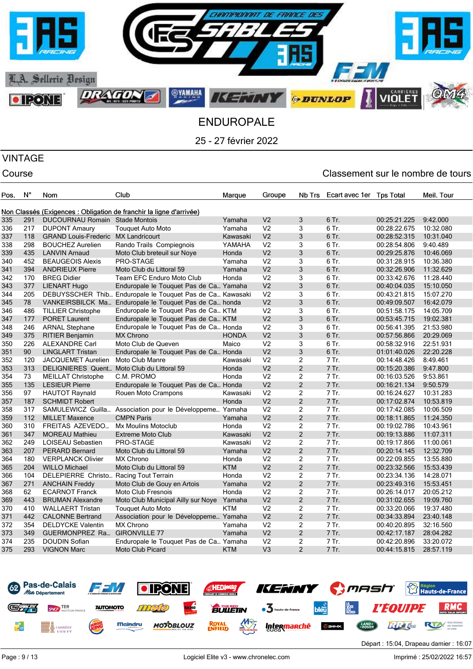

# VINTAGE

| Pos. | $N^{\circ}$ | Nom                                    | Club                                                                | Marque     | Groupe         | Nb Trs         | Ecart avec 1er | <b>Tos Total</b> | Meil. Tour |
|------|-------------|----------------------------------------|---------------------------------------------------------------------|------------|----------------|----------------|----------------|------------------|------------|
|      |             |                                        |                                                                     |            |                |                |                |                  |            |
|      |             |                                        | Non Classés (Exigences : Obligation de franchir la ligne d'arrivée) |            |                |                |                |                  |            |
| 335  | 291         | DUCOURNAU Romain Stade Montois         |                                                                     | Yamaha     | V <sub>2</sub> | 3              | 6 Tr.          | 00:25:21.225     | 9:42.000   |
| 336  | 217         | <b>DUPONT Amaury</b>                   | <b>Touquet Auto Moto</b>                                            | Yamaha     | V <sub>2</sub> | 3              | 6 Tr.          | 00:28:22.675     | 10:32.080  |
| 337  | 118         | <b>GRAND Louis-Frederic</b>            | <b>MX Landricourt</b>                                               | Kawasaki   | V <sub>2</sub> | 3              | 6 Tr.          | 00:28:52.315     | 10:31.040  |
| 338  | 298         | <b>BOUCHEZ Aurelien</b>                | Rando Trails Compiegnois                                            | YAMAHA     | V <sub>2</sub> | 3              | 6 Tr.          | 00:28:54.806     | 9:40.489   |
| 339  | 435         | <b>LANVIN Arnaud</b>                   | Moto Club breteuil sur Noye                                         | Honda      | V <sub>2</sub> | 3              | 6 Tr.          | 00:29:25.876     | 10:46.069  |
| 340  | 452         | <b>BEAUGEOIS Alexis</b>                | PRO-STAGE                                                           | Yamaha     | V <sub>2</sub> | 3              | 6 Tr.          | 00:31:28.915     | 10:36.380  |
| 341  | 394         | <b>ANDRIEUX Pierre</b>                 | Moto Club du Littoral 59                                            | Yamaha     | V <sub>2</sub> | $\mathfrak{Z}$ | 6 Tr.          | 00:32:26.906     | 11:32.629  |
| 342  | 170         | <b>BREG Didier</b>                     | Team EFC Enduro Moto Club                                           | Honda      | V <sub>2</sub> | 3              | 6 Tr.          | 00:33:42.676     | 11:28.440  |
| 343  | 377         | <b>LIENART Hugo</b>                    | Enduropale le Touquet Pas de Ca Yamaha                              |            | V <sub>2</sub> | 3              | 6 Tr.          | 00:40:04.035     | 15:10.050  |
| 344  | 205         |                                        | DEBUYSSCHER Thib Enduropale le Touquet Pas de Ca Kawasaki           |            | V <sub>2</sub> | 3              | 6 Tr.          | 00:43:21.815     | 15:07.270  |
| 345  | 78          | VANKEIRSBILCK Ma                       | Enduropale le Touquet Pas de Ca honda                               |            | V <sub>2</sub> | 3              | 6 Tr.          | 00:49:09.507     | 16:42.079  |
| 346  | 486         | <b>TILLIER Christophe</b>              | Enduropale le Touquet Pas de Ca KTM                                 |            | V <sub>2</sub> | 3              | 6 Tr.          | 00:51:58.175     | 14:05.709  |
| 347  | 177         | <b>PORET Laurent</b>                   | Enduropale le Touquet Pas de Ca KTM                                 |            | V <sub>2</sub> | 3              | 6 Tr.          | 00:53:45.715     | 19:02.381  |
| 348  | 246         | <b>ARNAL Stephane</b>                  | Enduropale le Touquet Pas de Ca Honda                               |            | V <sub>2</sub> | 3              | 6 Tr.          | 00:56:41.395     | 21:53.980  |
| 349  | 375         | <b>RITIER Benjamin</b>                 | <b>MX Chrono</b>                                                    | HONDA      | V <sub>2</sub> | 3              | 6 Tr.          | 00:57:56.866     | 20:29.069  |
| 350  | 226         | <b>ALEXANDRE Carl</b>                  | Moto Club de Queven                                                 | Maico      | V <sub>2</sub> | 3              | 6 Tr.          | 00:58:32.916     | 22:51.931  |
| 351  | 90          | <b>LINGLART Tristan</b>                | Enduropale le Touquet Pas de Ca Honda                               |            | V <sub>2</sub> | 3              | 6 Tr.          | 01:01:40.026     | 22:20.228  |
| 352  | 120         | <b>JACQUEMET Aurelien</b>              | Moto Club Manre                                                     | Kawasaki   | V <sub>2</sub> | $\overline{2}$ | 7 Tr.          | 00:14:48.426     | 8:49.461   |
| 353  | 313         | <b>DELIGNIERES Quent.</b>              | Moto Club du Littoral 59                                            | Honda      | V <sub>2</sub> | $\overline{2}$ | 7 Tr.          | 00:15:20.386     | 9:47.800   |
| 354  | 73          | <b>MEILLAT Christophe</b>              | C.M. PROMO                                                          | Honda      | V <sub>2</sub> | $\overline{2}$ | 7 Tr.          | 00:16:03.526     | 9:53.861   |
| 355  | 135         | <b>LESIEUR Pierre</b>                  | Enduropale le Touquet Pas de Ca Honda                               |            | V <sub>2</sub> | $\overline{2}$ | 7 Tr.          | 00:16:21.134     | 9:50.579   |
| 356  | 97          | <b>HAUTOT Raynald</b>                  | Rouen Moto Crampons                                                 | Kawasaki   | V <sub>2</sub> | $\overline{c}$ | 7 Tr.          | 00:16:24.627     | 10:31.283  |
| 357  | 187         | <b>SCHMIDT Robert</b>                  |                                                                     | Honda      | V <sub>2</sub> | $\overline{2}$ | 7 Tr.          | 00:17:02.874     | 10:53.819  |
| 358  | 317         | SAMULEWICZ Guilla                      | Association pour le Développeme Yamaha                              |            | V <sub>2</sub> | $\overline{2}$ | 7 Tr.          | 00:17:42.085     | 10:06.509  |
| 359  | 112         | <b>MILLET Maxence</b>                  | <b>CMPN Paris</b>                                                   | Yamaha     | V <sub>2</sub> | $\overline{2}$ | 7 Tr.          | 00:18:11.865     | 11:24.350  |
| 360  | 310         | FREITAS AZEVEDO                        | Mx Moulins Motoclub                                                 | Honda      | V <sub>2</sub> | $\overline{c}$ | 7 Tr.          | 00:19:02.786     | 10:43.961  |
| 361  | 347         | <b>MOREAU Mathieu</b>                  | <b>Extreme Moto Club</b>                                            | Kawasaki   | V <sub>2</sub> | $\overline{2}$ | 7 Tr.          | 00:19:13.886     | 11:07.311  |
| 362  | 249         | <b>LOISEAU Sebastien</b>               | PRO-STAGE                                                           | Kawasaki   | V <sub>2</sub> | $\overline{2}$ | 7 Tr.          | 00:19:17.866     | 11:00.061  |
| 363  | 207         | <b>PERARD Bernard</b>                  | Moto Club du Littoral 59                                            | Yamaha     | V <sub>2</sub> | $\overline{2}$ | 7 Tr.          | 00:20:14.145     | 12:32.709  |
| 364  | 180         | <b>VERPLANCK Olivier</b>               | <b>MX Chrono</b>                                                    | Honda      | V <sub>2</sub> | $\overline{2}$ | 7 Tr.          | 00:22:09.855     | 13:55.880  |
| 365  | 204         | <b>WILLO Michael</b>                   | Moto Club du Littoral 59                                            | <b>KTM</b> | V <sub>2</sub> | $\overline{2}$ | 7 Tr.          | 00:23:32.566     | 15:53.439  |
| 366  | 104         | DELEPIERRE Christo Racing Tout Terrain |                                                                     | Honda      | V <sub>2</sub> | $\overline{c}$ | 7 Tr.          | 00:23:34.136     | 14:28.071  |
| 367  | 271         | <b>ANCHAIN Freddy</b>                  | Moto Club de Gouy en Artois                                         | Yamaha     | V <sub>2</sub> | $\overline{2}$ | 7 Tr.          | 00:23:49.316     | 15:53.451  |
| 368  | 62          | <b>ECARNOT Franck</b>                  | Moto Club Fresnois                                                  | Honda      | V <sub>2</sub> | $\overline{c}$ | 7 Tr.          | 00:26:14.017     | 20:05.212  |
| 369  | 443         | <b>BRUMAN Alexandre</b>                | Moto Club Municipal Ailly sur Noye Yamaha                           |            | V <sub>2</sub> | $\overline{2}$ | 7 Tr.          | 00:31:02.655     | 19:09.760  |
| 370  | 410         | <b>WALLAERT Tristan</b>                | <b>Touquet Auto Moto</b>                                            | <b>KTM</b> | V <sub>2</sub> | $\overline{2}$ | 7 Tr.          | 00:33:20.066     | 19:37.480  |
| 371  | 442         | <b>CALONNE Bertrand</b>                | Association pour le Développeme Yamaha                              |            | V <sub>2</sub> | $\overline{2}$ | 7 Tr.          | 00:34:33.894     | 23:40.148  |
| 372  | 354         | <b>DELDYCKE Valentin</b>               | <b>MX Chrono</b>                                                    | Yamaha     | V <sub>2</sub> | $\overline{2}$ | 7 Tr.          | 00:40:20.895     | 32:16.560  |
| 373  | 349         | <b>GUERMONPREZ Ra</b>                  | <b>GIRONVILLE 77</b>                                                | Yamaha     | V <sub>2</sub> | $\overline{2}$ | 7 Tr.          | 00:42:17.187     | 28:04.282  |
| 374  | 235         | <b>DOUDIN Sofian</b>                   | Enduropale le Touquet Pas de Ca Yamaha                              |            | V <sub>2</sub> | $\overline{c}$ | 7 Tr.          | 00:42:20.896     | 33:20.072  |
| 375  | 293         | <b>VIGNON Marc</b>                     | Moto Club Picard                                                    | <b>KTM</b> | V <sub>3</sub> | $\overline{2}$ | 7 Tr.          | 00:44:15.815     | 28:57.119  |
|      |             |                                        |                                                                     |            |                |                |                |                  |            |

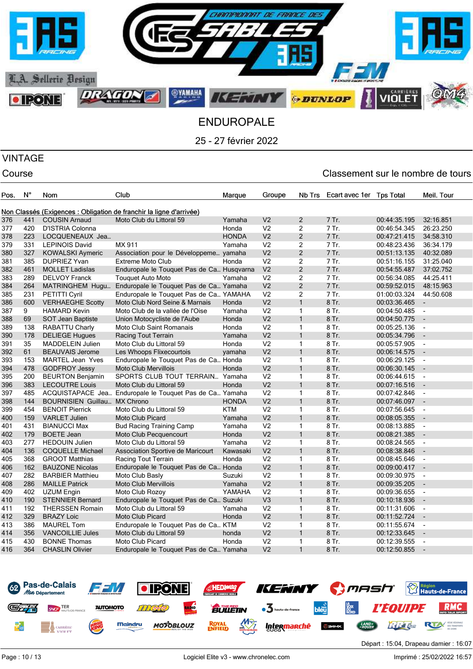

### VINTAGE

| Pos. | N°  | Nom                          | Club                                                                | Marque       | Groupe         | Nb Trs         | Ecart avec 1er | <b>Tps Total</b> | Meil. Tour               |
|------|-----|------------------------------|---------------------------------------------------------------------|--------------|----------------|----------------|----------------|------------------|--------------------------|
|      |     |                              |                                                                     |              |                |                |                |                  |                          |
|      |     |                              | Non Classés (Exigences : Obligation de franchir la ligne d'arrivée) |              |                |                |                |                  |                          |
| 376  | 441 | <b>COUSIN Arnaud</b>         | Moto Club du Littoral 59                                            | Yamaha       | V <sub>2</sub> | $\overline{2}$ | 7 Tr.          | 00:44:35.195     | 32:16.851                |
| 377  | 420 | D'ISTRIA Colonna             |                                                                     | Honda        | V <sub>2</sub> | $\overline{2}$ | 7 Tr.          | 00:46:54.345     | 26:23.250                |
| 378  | 223 | LOCQUENEAUX Jea              |                                                                     | <b>HONDA</b> | V <sub>2</sub> | $\overline{2}$ | 7 Tr.          | 00:47:21.415     | 34:58.310                |
| 379  | 331 | <b>LEPINOIS David</b>        | MX 911                                                              | Yamaha       | V <sub>2</sub> | $\overline{2}$ | 7 Tr.          | 00:48:23.436     | 36:34.179                |
| 380  | 327 | <b>KOWALSKI Aymeric</b>      | Association pour le Développeme yamaha                              |              | V <sub>2</sub> | $\overline{2}$ | 7 Tr.          | 00:51:13.135     | 40:32.089                |
| 381  | 385 | <b>DUPRIEZ Yvan</b>          | <b>Extreme Moto Club</b>                                            | Honda        | V <sub>2</sub> | $\overline{c}$ | 7 Tr.          | 00:51:16.155     | 31:25.040                |
| 382  | 461 | <b>MOLLET Ladislas</b>       | Enduropale le Touquet Pas de Ca Husqvarna                           |              | V <sub>2</sub> | $\overline{2}$ | 7 Tr.          | 00:54:55.487     | 37:02.752                |
| 383  | 289 | <b>DELVOY Franck</b>         | <b>Touquet Auto Moto</b>                                            | Yamaha       | V <sub>2</sub> | $\overline{2}$ | 7 Tr.          | 00:56:34.085     | 44:25.411                |
| 384  | 264 | <b>MATRINGHEM Hugu</b>       | Enduropale le Touquet Pas de Ca Yamaha                              |              | V <sub>2</sub> | $\overline{2}$ | 7 Tr.          | 00:59:52.015     | 48:15.963                |
| 385  | 231 | <b>PETITTI Cyril</b>         | Enduropale le Touquet Pas de Ca YAMAHA                              |              | V <sub>2</sub> | $\overline{2}$ | 7 Tr.          | 01:00:03.324     | 44:50.608                |
| 386  | 600 | <b>VERHAEGHE Scotty</b>      | Moto Club Nord Seine & Marnais                                      | Honda        | V <sub>2</sub> | $\mathbf{1}$   | 8 Tr.          | 00:03:36.465     | $\blacksquare$           |
| 387  | 9   | <b>HAMARD Kevin</b>          | Moto Club de la vallée de l'Oise                                    | Yamaha       | V <sub>2</sub> | $\mathbf{1}$   | 8 Tr.          | 00:04:50.485     | $\overline{\phantom{a}}$ |
| 388  | 69  | SOT Jean Baptiste            | Union Motocycliste de l'Aube                                        | Honda        | V <sub>2</sub> | $\mathbf{1}$   | 8 Tr.          | 00:04:50.775     | $\overline{\phantom{a}}$ |
| 389  | 138 | RABATTU Charly               | Moto Club Saint Romanais                                            | Honda        | V <sub>2</sub> | $\mathbf{1}$   | 8 Tr.          | 00:05:25.136     | $\blacksquare$           |
| 390  | 178 | <b>DELIEGE Hugues</b>        | Racing Tout Terrain                                                 | Yamaha       | V <sub>2</sub> | $\mathbf{1}$   | 8 Tr.          | 00:05:34.796     | $\overline{\phantom{a}}$ |
| 391  | 35  | <b>MADDELEIN Julien</b>      | Moto Club du Littoral 59                                            | Honda        | V <sub>2</sub> | $\mathbf{1}$   | 8 Tr.          | 00:05:57.905     | $\blacksquare$           |
| 392  | 61  | <b>BEAUVAIS Jerome</b>       | Les Whoops Flixecourtois                                            | yamaha       | V <sub>2</sub> | $\mathbf{1}$   | 8 Tr.          | 00:06:14.575     | $\overline{\phantom{a}}$ |
| 393  | 153 | <b>MARTEL Jean Yves</b>      | Enduropale le Touquet Pas de Ca Honda                               |              | V <sub>2</sub> | $\mathbf{1}$   | 8 Tr.          | 00:06:29.125     | $\blacksquare$           |
| 394  | 478 | <b>GODFROY Jessy</b>         | <b>Moto Club Mervillois</b>                                         | Honda        | V <sub>2</sub> | $\mathbf{1}$   | 8 Tr.          | 00:06:30.145     |                          |
| 395  | 200 | <b>BEURTON Benjamin</b>      | SPORTS CLUB TOUT TERRAIN Yamaha                                     |              | V <sub>2</sub> | $\mathbf{1}$   | 8 Tr.          | 00:06:44.615     | $\overline{\phantom{a}}$ |
| 396  | 383 | <b>LECOUTRE Louis</b>        | Moto Club du Littoral 59                                            | Honda        | V <sub>2</sub> | $\overline{1}$ | 8 Tr.          | 00:07:16.516     | $\overline{\phantom{a}}$ |
| 397  | 485 | ACQUISTAPACE Jea             | Enduropale le Touquet Pas de Ca Yamaha                              |              | V <sub>2</sub> | $\mathbf{1}$   | 8 Tr.          | 00:07:42.846     | $\overline{\phantom{a}}$ |
| 398  | 144 | BOURNISIEN Guillau MX Chrono |                                                                     | <b>HONDA</b> | V <sub>2</sub> | $\mathbf{1}$   | 8 Tr.          | 00:07:46.097     | $\blacksquare$           |
| 399  | 454 | <b>BENOIT Pierrick</b>       | Moto Club du Littoral 59                                            | <b>KTM</b>   | V <sub>2</sub> | $\mathbf{1}$   | 8 Tr.          | 00:07:56.645     | $\blacksquare$           |
| 400  | 159 | <b>VARLET Julien</b>         | Moto Club Picard                                                    | Yamaha       | V <sub>2</sub> | $\mathbf{1}$   | 8 Tr.          | 00:08:05.355     | $\blacksquare$           |
| 401  | 431 | <b>BIANUCCI Max</b>          | <b>Bud Racing Training Camp</b>                                     | Yamaha       | V <sub>2</sub> | $\mathbf{1}$   | 8 Tr.          | 00:08:13.885     | $\overline{\phantom{a}}$ |
| 402  | 179 | <b>BOETE</b> Jean            | Moto Club Pecquencourt                                              | Honda        | V <sub>2</sub> | $\mathbf{1}$   | 8 Tr.          | 00:08:21.385     | $\overline{\phantom{a}}$ |
| 403  | 277 | <b>HEDOUIN Julien</b>        | Moto Club du Littoral 59                                            | Yamaha       | V <sub>2</sub> | $\mathbf{1}$   | 8 Tr.          | 00:08:24.565     | $\blacksquare$           |
| 404  | 136 | <b>COQUELLE Michael</b>      | Association Sportive de Maricourt                                   | Kawasaki     | V <sub>2</sub> | $\mathbf{1}$   | 8 Tr.          | 00:08:38.846     | $\overline{\phantom{a}}$ |
| 405  | 368 | <b>GROOT Matthias</b>        | Racing Tout Terrain                                                 | Honda        | V <sub>2</sub> | $\mathbf{1}$   | 8 Tr.          | 00:08:45.646     | $\overline{\phantom{a}}$ |
| 406  | 162 | <b>BAUZONE Nicolas</b>       | Enduropale le Touquet Pas de Ca Honda                               |              | V <sub>2</sub> | $\mathbf{1}$   | 8 Tr.          | 00:09:00.417     | $\sim$                   |
| 407  | 282 | <b>BARBIER Matthieu</b>      | Moto Club Basly                                                     | Suzuki       | V <sub>2</sub> | $\mathbf{1}$   | 8 Tr.          | 00:09:30.975     | $\overline{\phantom{a}}$ |
| 408  | 286 | <b>MAILLE Patrick</b>        | <b>Moto Club Mervillois</b>                                         | Yamaha       | V <sub>2</sub> | $\mathbf{1}$   | 8 Tr.          | 00:09:35.205     | $\overline{a}$           |
| 409  | 402 | <b>UZUM Engin</b>            | Moto Club Rozoy                                                     | YAMAHA       | V <sub>2</sub> | $\mathbf{1}$   | 8 Tr.          | 00:09:36.655     | $\overline{\phantom{a}}$ |
| 410  | 190 | <b>STENNIER Bernard</b>      | Enduropale le Touquet Pas de Ca Suzuki                              |              | V3             | $\mathbf{1}$   | 8 Tr.          | 00:10:18.936     | $\overline{\phantom{a}}$ |
| 411  | 192 | <b>THERSSEN Romain</b>       | Moto Club du Littoral 59                                            | Yamaha       | V <sub>2</sub> | $\mathbf{1}$   | 8 Tr.          | 00:11:31.606     | $\blacksquare$           |
| 412  | 329 | <b>BRAZY Loic</b>            | <b>Moto Club Picard</b>                                             | Honda        | V <sub>2</sub> | $\mathbf{1}$   | 8 Tr.          | 00:11:52.724     | $\overline{\phantom{a}}$ |
| 413  | 386 | <b>MAUREL Tom</b>            | Enduropale le Touquet Pas de Ca KTM                                 |              | V <sub>2</sub> | $\mathbf{1}$   | 8 Tr.          | 00:11:55.674     | $\overline{\phantom{a}}$ |
| 414  | 356 | <b>VANCOILLIE Jules</b>      | Moto Club du Littoral 59                                            | honda        | V <sub>2</sub> | $\mathbf{1}$   | 8 Tr.          | 00:12:33.645     | ÷,                       |
| 415  | 430 | <b>BONNE Thomas</b>          | Moto Club Picard                                                    | Honda        | V <sub>2</sub> | $\mathbf{1}$   | 8 Tr.          | 00:12:39.555     | $\overline{\phantom{a}}$ |
| 416  | 364 | <b>CHASLIN Olivier</b>       | Enduropale le Touquet Pas de Ca Yamaha                              |              | V <sub>2</sub> | $\mathbf{1}$   | 8 Tr.          | 00:12:50.855     | $\overline{a}$           |
|      |     |                              |                                                                     |              |                |                |                |                  |                          |

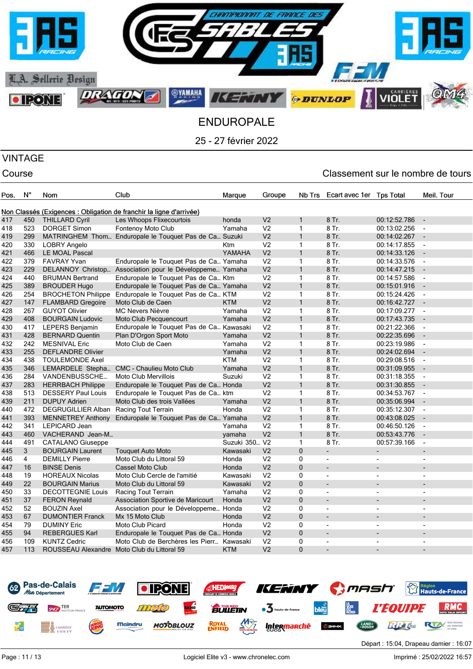

### VINTAGE

| Pos. | N°             | Nom                                    | Club                                                                | Marque        | Groupe         | Nb Trs         | Ecart avec 1er Tps Total |                          | Meil. Tour               |
|------|----------------|----------------------------------------|---------------------------------------------------------------------|---------------|----------------|----------------|--------------------------|--------------------------|--------------------------|
|      |                |                                        |                                                                     |               |                |                |                          |                          |                          |
|      |                |                                        | Non Classés (Exigences : Obligation de franchir la ligne d'arrivée) |               |                |                |                          |                          |                          |
| 417  | 450            | <b>THILLARD Cyril</b>                  | Les Whoops Flixecourtois                                            | honda         | V <sub>2</sub> | $\mathbf{1}$   | 8 Tr.                    | 00:12:52.786             | $\overline{\phantom{a}}$ |
| 418  | 523            | <b>DORGET Simon</b>                    | Fontenoy Moto Club                                                  | Yamaha        | V <sub>2</sub> | $\mathbf{1}$   | 8 Tr.                    | 00:13:02.256             | $\blacksquare$           |
| 419  | 299            |                                        | MATRINGHEM Thom Enduropale le Touquet Pas de Ca Suzuki              |               | V <sub>2</sub> | $\mathbf{1}$   | 8 Tr.                    | 00:14:02.267             | $\overline{\phantom{a}}$ |
| 420  | 330            | LOBRY Angelo                           |                                                                     | Ktm           | V <sub>2</sub> | $\mathbf{1}$   | 8 Tr.                    | 00:14:17.855             | $\overline{\phantom{a}}$ |
| 421  | 466            | LE MOAL Pascal                         |                                                                     | YAMAHA        | V <sub>2</sub> | $\mathbf{1}$   | 8 Tr.                    | 00:14:33.126             |                          |
| 422  | 379            | <b>FAVRAY Yvan</b>                     | Enduropale le Touquet Pas de Ca Yamaha                              |               | V <sub>2</sub> | $\mathbf{1}$   | 8 Tr.                    | 00:14:33.576             | $\blacksquare$           |
| 423  | 229            | DELANNOY Christop                      | Association pour le Développeme Yamaha                              |               | V <sub>2</sub> | $\mathbf{1}$   | 8 Tr.                    | 00:14:47.215             | $\overline{\phantom{a}}$ |
| 424  | 440            | <b>BRUMAN Bertrand</b>                 | Enduropale le Touquet Pas de Ca Ktm                                 |               | V <sub>2</sub> | $\mathbf{1}$   | 8 Tr.                    | 00:14:57.586             | $\overline{\phantom{a}}$ |
| 425  | 389            | <b>BROUDER Hugo</b>                    | Enduropale le Touquet Pas de Ca Yamaha                              |               | V <sub>2</sub> | $\mathbf{1}$   | 8 Tr.                    | 00:15:01.916             | $\overline{\phantom{a}}$ |
| 426  | 254            | <b>BROCHETON Philippe</b>              | Enduropale le Touquet Pas de Ca KTM                                 |               | V <sub>2</sub> | $\mathbf{1}$   | 8 Tr.                    | 00:15:24.426             | $\overline{\phantom{a}}$ |
| 427  | 147            | <b>FLAMBARD Gregoire</b>               | Moto Club de Caen                                                   | KTM           | V <sub>2</sub> | $\mathbf{1}$   | 8 Tr.                    | 00:16:42.727             | $\overline{\phantom{a}}$ |
| 428  | 267            | <b>GUYOT Olivier</b>                   | MC Nevers Nièvre                                                    | Yamaha        | V <sub>2</sub> | $\mathbf{1}$   | 8 Tr.                    | 00:17:09.277             | $\blacksquare$           |
| 429  | 408            | <b>BOURGAIN Ludovic</b>                | Moto Club Pecquencourt                                              | Yamaha        | V <sub>2</sub> | $\mathbf{1}$   | 8 Tr.                    | 00:17:43.735             | $\overline{\phantom{a}}$ |
| 430  | 417            | LEPERS Benjamin                        | Enduropale le Touquet Pas de Ca Kawasaki                            |               | V <sub>2</sub> | $\mathbf{1}$   | 8 Tr.                    | 00:21:22.366             | $\overline{\phantom{a}}$ |
| 431  | 428            | <b>BERNARD Quentin</b>                 | Plan D'Orgon Sport Moto                                             | Yamaha        | V <sub>2</sub> | $\mathbf{1}$   | 8 Tr.                    | 00:22:35.696             | $\overline{\phantom{a}}$ |
| 432  | 242            | <b>MESNIVAL Eric</b>                   | Moto Club de Caen                                                   | Yamaha        | V <sub>2</sub> | $\mathbf{1}$   | 8 Tr.                    | 00:23:19.986             | $\blacksquare$           |
| 433  | 255            | <b>DEFLANDRE Olivier</b>               |                                                                     | Yamaha        | V <sub>2</sub> | $\mathbf{1}$   | 8 Tr.                    | 00:24:02.694             | $\overline{\phantom{a}}$ |
| 434  | 438            | <b>TOULEMONDE Axel</b>                 |                                                                     | <b>KTM</b>    | V <sub>2</sub> | $\mathbf{1}$   | 8 Tr.                    | 00:29:08.516             | $\overline{\phantom{a}}$ |
| 435  | 346            | LEMARDELE Stepha                       | <b>CMC - Chaulieu Moto Club</b>                                     | Yamaha        | V <sub>2</sub> | $\mathbf{1}$   | 8 Tr.                    | 00:31:09.955             | $\overline{\phantom{a}}$ |
| 436  | 284            | VANDENBUSSCHE                          | <b>Moto Club Mervillois</b>                                         | Suzuki        | V <sub>2</sub> | $\mathbf{1}$   | 8 Tr.                    | 00:31:18.355             | $\overline{\phantom{a}}$ |
| 437  | 283            | <b>HERRBACH Philippe</b>               | Enduropale le Touquet Pas de Ca Honda                               |               | V <sub>2</sub> | $\mathbf{1}$   | 8 Tr.                    | 00:31:30.855             | $\blacksquare$           |
| 438  | 513            | <b>DESSERY Paul Louis</b>              | Enduropale le Touquet Pas de Ca ktm                                 |               | V <sub>2</sub> | $\mathbf{1}$   | 8 Tr.                    | 00:34:53.767             | $\blacksquare$           |
| 439  | 211            | <b>DUPUY Adrien</b>                    | Moto Club des trois Vallées                                         | Yamaha        | V <sub>2</sub> | $\mathbf{1}$   | 8 Tr.                    | 00:35:06.994             | $\overline{\phantom{a}}$ |
| 440  | 472            | DEGRUGILLIER Alban Racing Tout Terrain |                                                                     | Honda         | V <sub>2</sub> | $\mathbf{1}$   | 8 Tr.                    | 00:35:12.307             | $\overline{\phantom{a}}$ |
| 441  | 393            |                                        | MENNETREY Anthony Enduropale le Touquet Pas de Ca Yamaha            |               | V <sub>2</sub> | $\mathbf{1}$   | 8 Tr.                    | 00:43:08.025             | $\overline{\phantom{a}}$ |
| 442  | 341            | LEPICARD Jean                          |                                                                     | Yamaha        | V <sub>2</sub> | $\mathbf{1}$   | 8 Tr.                    | 00:46:50.126             | $\overline{\phantom{a}}$ |
| 443  | 460            | VACHERAND Jean-M                       |                                                                     | yamaha        | V <sub>2</sub> | $\mathbf{1}$   | 8 Tr.                    | 00:53:43.776             | $\overline{\phantom{a}}$ |
| 444  | 491            | <b>CATALANO Giuseppe</b>               |                                                                     | Suzuki 350 V2 |                | $\mathbf{1}$   | 8 Tr.                    | 00:57:39.166             | $\overline{\phantom{a}}$ |
| 445  | 3              | <b>BOURGAIN Laurent</b>                | <b>Touquet Auto Moto</b>                                            | Kawasaki      | V <sub>2</sub> | $\mathbf 0$    |                          |                          | $\overline{a}$           |
| 446  | $\overline{4}$ | <b>DEMILLY Pierre</b>                  | Moto Club du Littoral 59                                            | Honda         | V <sub>2</sub> | 0              | $\blacksquare$           | $\blacksquare$           | $\blacksquare$           |
| 447  | 16             | <b>BINSE Denis</b>                     | <b>Cassel Moto Club</b>                                             | Honda         | V <sub>2</sub> | $\overline{0}$ | $\overline{a}$           |                          |                          |
| 448  | 19             | <b>HOREAUX Nicolas</b>                 | Moto Club Cercle de l'amitié                                        | Kawasaki      | V <sub>2</sub> | $\mathbf 0$    | $\blacksquare$           | $\blacksquare$           | ٠                        |
| 449  | 22             | <b>BOURGAIN Marius</b>                 | Moto Club du Littoral 59                                            | Kawasaki      | V <sub>2</sub> | $\mathbf{0}$   | $\overline{\phantom{a}}$ | $\blacksquare$           |                          |
| 450  | 33             | <b>DECOTTEGNIE Louis</b>               | Racing Tout Terrain                                                 | Yamaha        | V <sub>2</sub> | $\Omega$       | $\blacksquare$           | ٠                        | $\overline{a}$           |
| 451  | 37             | <b>FERON Reynald</b>                   | Association Sportive de Maricourt                                   | Honda         | V <sub>2</sub> | $\Omega$       | ÷                        | ÷,                       | $\overline{a}$           |
| 452  | 52             | <b>BOUZIN Axel</b>                     | Association pour le Développeme Honda                               |               | V <sub>2</sub> | 0              | $\overline{\phantom{a}}$ | $\overline{\phantom{a}}$ | $\overline{\phantom{a}}$ |
| 453  | 67             | <b>DUMONTIER Franck</b>                | Mx 15 Moto Club                                                     | Honda         | V <sub>2</sub> | $\mathbf 0$    | $\overline{\phantom{a}}$ |                          |                          |
| 454  | 79             | <b>DUMINY Eric</b>                     | Moto Club Picard                                                    | Honda         | V <sub>2</sub> | $\mathbf 0$    | $\blacksquare$           | $\blacksquare$           | $\blacksquare$           |
| 455  | 94             | <b>REBERGUES Karl</b>                  | Enduropale le Touquet Pas de Ca Honda                               |               | V <sub>2</sub> | $\mathbf{0}$   | ÷,                       | $\overline{\phantom{0}}$ |                          |
| 456  | 109            | <b>KUNTZ Cedric</b>                    | Moto Club de Berchères les Pierr Kawasaki                           |               | V <sub>2</sub> | $\Omega$       | $\blacksquare$           | $\blacksquare$           | $\blacksquare$           |
| 457  | 113            |                                        | ROUSSEAU Alexandre Moto Club du Littoral 59                         | <b>KTM</b>    | V <sub>2</sub> | $\overline{0}$ |                          |                          |                          |
|      |                |                                        |                                                                     |               |                |                |                          |                          |                          |

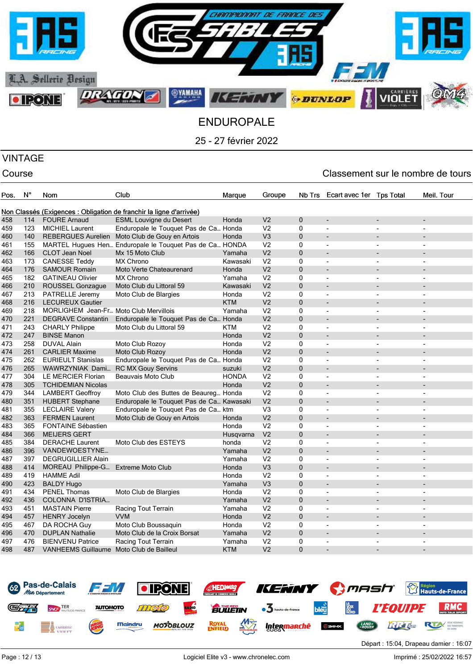

# VINTAGE

| Pos. | N°  | <b>Nom</b>                               | Club                                                                | Marque       | Groupe         | Nb Trs         | Ecart avec 1er Tps Total |                          | Meil. Tour               |
|------|-----|------------------------------------------|---------------------------------------------------------------------|--------------|----------------|----------------|--------------------------|--------------------------|--------------------------|
|      |     |                                          |                                                                     |              |                |                |                          |                          |                          |
|      |     |                                          | Non Classés (Exigences : Obligation de franchir la ligne d'arrivée) |              |                |                |                          |                          |                          |
| 458  | 114 | <b>FOURE Arnaud</b>                      | <b>ESML Louvigne du Desert</b>                                      | Honda        | V <sub>2</sub> | $\mathbf 0$    |                          |                          |                          |
| 459  | 123 | <b>MICHIEL Laurent</b>                   | Enduropale le Touquet Pas de Ca Honda                               |              | V <sub>2</sub> | $\mathbf 0$    | $\blacksquare$           | $\overline{\phantom{a}}$ | $\overline{a}$           |
| 460  | 140 | <b>REBERGUES Aurelien</b>                | Moto Club de Gouy en Artois                                         | Honda        | V <sub>3</sub> | $\mathbf{0}$   | ÷                        |                          |                          |
| 461  | 155 |                                          | MARTEL Hugues Hen Enduropale le Touquet Pas de Ca HONDA             |              | V <sub>2</sub> | $\mathbf{0}$   | $\blacksquare$           | $\overline{\phantom{a}}$ |                          |
| 462  | 166 | <b>CLOT Jean Noel</b>                    | Mx 15 Moto Club                                                     | Yamaha       | V <sub>2</sub> | $\Omega$       | $\overline{a}$           |                          |                          |
| 463  | 173 | <b>CANESSE Teddy</b>                     | <b>MX Chrono</b>                                                    | Kawasaki     | V <sub>2</sub> | $\mathbf 0$    | $\blacksquare$           | $\overline{\phantom{a}}$ | $\overline{\phantom{a}}$ |
| 464  | 176 | <b>SAMOUR Romain</b>                     | Moto Verte Chateaurenard                                            | Honda        | V <sub>2</sub> | $\mathbf{0}$   | ÷                        |                          |                          |
| 465  | 182 | <b>GATINEAU Olivier</b>                  | <b>MX Chrono</b>                                                    | Yamaha       | V <sub>2</sub> | 0              | ٠                        |                          | $\blacksquare$           |
| 466  | 210 | <b>ROUSSEL Gonzague</b>                  | Moto Club du Littoral 59                                            | Kawasaki     | V <sub>2</sub> | $\mathbf{0}$   | $\overline{a}$           | $\overline{a}$           |                          |
| 467  | 213 | PATRELLE Jeremy                          | Moto Club de Blargies                                               | Honda        | V <sub>2</sub> | 0              | $\overline{\phantom{m}}$ | $\overline{\phantom{a}}$ |                          |
| 468  | 216 | <b>LECUREUX Gautier</b>                  |                                                                     | <b>KTM</b>   | V <sub>2</sub> | $\mathbf{0}$   | $\overline{a}$           |                          |                          |
| 469  | 218 | MORLIGHEM Jean-Fr Moto Club Mervillois   |                                                                     | Yamaha       | V <sub>2</sub> | $\mathbf{0}$   | ٠                        | $\overline{\phantom{a}}$ |                          |
| 470  | 221 | <b>DEGRAVE Constantin</b>                | Enduropale le Touquet Pas de Ca Honda                               |              | V <sub>2</sub> | $\mathbf{0}$   | ÷,                       |                          |                          |
| 471  | 243 | <b>CHARLY Philippe</b>                   | Moto Club du Littoral 59                                            | <b>KTM</b>   | V <sub>2</sub> | $\Omega$       | ÷,                       |                          |                          |
| 472  | 247 | <b>BINSE Manon</b>                       |                                                                     | Honda        | V <sub>2</sub> | $\Omega$       | $\overline{a}$           |                          |                          |
| 473  | 258 | <b>DUVAL Alain</b>                       | Moto Club Rozoy                                                     | Honda        | V <sub>2</sub> | $\mathbf{0}$   | $\blacksquare$           | $\overline{\phantom{a}}$ | $\blacksquare$           |
| 474  | 261 | <b>CARLIER Maxime</b>                    | Moto Club Rozoy                                                     | Honda        | V <sub>2</sub> | $\mathbf{0}$   | $\overline{a}$           |                          |                          |
| 475  | 262 | <b>EURIEULT Stanislas</b>                | Enduropale le Touquet Pas de Ca Honda                               |              | V <sub>2</sub> | $\mathbf{0}$   | $\overline{\phantom{a}}$ | $\overline{\phantom{a}}$ |                          |
| 476  | 265 | WAWRZYNIAK Dami                          | <b>RC MX Gouy Servins</b>                                           | suzuki       | V <sub>2</sub> | $\Omega$       |                          |                          |                          |
| 477  | 304 | LE MERCIER Florian                       | Beauvais Moto Club                                                  | <b>HONDA</b> | V <sub>2</sub> | $\mathbf 0$    | ٠                        | $\overline{\phantom{a}}$ | $\overline{a}$           |
| 478  | 305 | <b>TCHIDEMIAN Nicolas</b>                |                                                                     | Honda        | V <sub>2</sub> | $\mathbf{0}$   | $\overline{a}$           |                          |                          |
| 479  | 344 | <b>LAMBERT Geoffroy</b>                  | Moto Club des Buttes de Beaureg Honda                               |              | V <sub>2</sub> | $\mathbf{0}$   | $\blacksquare$           | $\blacksquare$           | $\blacksquare$           |
| 480  | 351 | <b>HUBERT Stephane</b>                   | Enduropale le Touquet Pas de Ca Kawasaki                            |              | V <sub>2</sub> | $\overline{0}$ | ٠                        | ٠                        |                          |
| 481  | 355 | <b>LECLAIRE Valery</b>                   | Enduropale le Touquet Pas de Ca ktm                                 |              | V <sub>3</sub> | 0              | $\overline{\phantom{m}}$ | $\overline{\phantom{a}}$ | $\overline{a}$           |
| 482  | 363 | <b>FERMEN Laurent</b>                    | Moto Club de Gouy en Artois                                         | Honda        | V <sub>2</sub> | $\mathbf{0}$   | $\overline{a}$           |                          |                          |
| 483  | 365 | <b>FONTAINE Sébastien</b>                |                                                                     | Honda        | V <sub>2</sub> | $\mathbf{0}$   | $\blacksquare$           | $\overline{a}$           | $\overline{a}$           |
| 484  | 366 | <b>MEIJERS GERT</b>                      |                                                                     | Husqvarna    | V <sub>2</sub> | 0              | $\overline{\phantom{a}}$ | $\overline{a}$           |                          |
| 485  | 384 | <b>DERACHE Laurent</b>                   | Moto Club des ESTEYS                                                | honda        | V <sub>2</sub> | $\Omega$       | ÷,                       |                          |                          |
| 486  | 396 | VANDEWOESTYNE                            |                                                                     | Yamaha       | V <sub>2</sub> | $\Omega$       |                          |                          |                          |
| 487  | 397 | DEGRUGILLIER Alain                       |                                                                     | Yamaha       | V <sub>2</sub> | $\mathbf 0$    | $\blacksquare$           | $\overline{a}$           | $\blacksquare$           |
| 488  | 414 | MOREAU Philippe-G Extreme Moto Club      |                                                                     | Honda        | V <sub>3</sub> | $\Omega$       |                          |                          |                          |
| 489  | 419 | <b>HAMME Adil</b>                        |                                                                     | Honda        | V <sub>2</sub> | $\mathbf{0}$   | $\overline{\phantom{a}}$ | $\overline{\phantom{a}}$ |                          |
| 490  | 423 | <b>BALDY Hugo</b>                        |                                                                     | Yamaha       | V <sub>3</sub> | $\Omega$       | $\overline{a}$           |                          |                          |
| 491  | 434 | <b>PENEL Thomas</b>                      | Moto Club de Blargies                                               | Honda        | V <sub>2</sub> | $\Omega$       | $\blacksquare$           | $\overline{\phantom{a}}$ | $\sim$                   |
| 492  | 436 | COLONNA D'ISTRIA                         |                                                                     | Yamaha       | V <sub>2</sub> | $\mathbf{0}$   | $\overline{a}$           |                          |                          |
| 493  | 451 | <b>MASTAIN Pierre</b>                    | Racing Tout Terrain                                                 | Yamaha       | V <sub>2</sub> | 0              | $\blacksquare$           | $\overline{\phantom{a}}$ | $\blacksquare$           |
| 494  | 457 | <b>HENRY Jocelyn</b>                     | <b>VVM</b>                                                          | Honda        | V <sub>2</sub> | $\overline{0}$ | ٠                        | $\overline{a}$           |                          |
| 495  | 467 | DA ROCHA Guy                             | Moto Club Boussaguin                                                | Honda        | V <sub>2</sub> | 0              | $\overline{\phantom{m}}$ | ÷.                       | $\overline{a}$           |
| 496  | 470 | <b>DUPLAN Nathalie</b>                   | Moto Club de la Croix Borsat                                        | Yamaha       | V <sub>2</sub> | $\mathbf{0}$   | $\overline{a}$           |                          |                          |
| 497  | 476 | <b>BIENVENU Patrice</b>                  | Racing Tout Terrain                                                 | Yamaha       | V <sub>2</sub> | $\mathbf{0}$   | ٠                        | $\overline{\phantom{a}}$ | $\overline{\phantom{a}}$ |
| 498  | 487 | VANHEEMS Guillaume Moto Club de Bailleul |                                                                     | <b>KTM</b>   | V <sub>2</sub> | $\overline{0}$ |                          |                          |                          |
|      |     |                                          |                                                                     |              |                |                |                          |                          |                          |